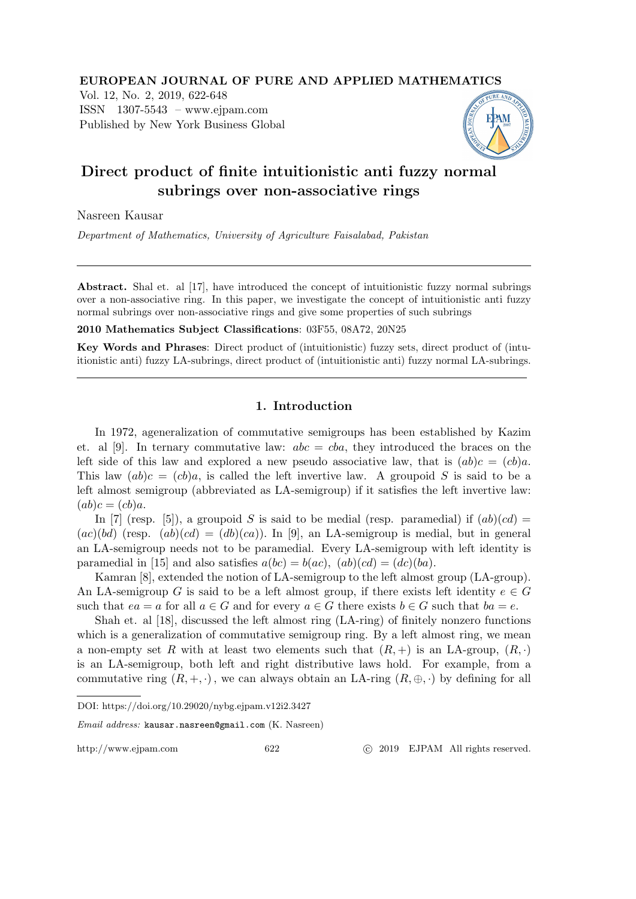## EUROPEAN JOURNAL OF PURE AND APPLIED MATHEMATICS

Vol. 12, No. 2, 2019, 622-648 ISSN 1307-5543 – www.ejpam.com Published by New York Business Global



# Direct product of finite intuitionistic anti fuzzy normal subrings over non-associative rings

Nasreen Kausar

Department of Mathematics, University of Agriculture Faisalabad, Pakistan

Abstract. Shal et. al [17], have introduced the concept of intuitionistic fuzzy normal subrings over a non-associative ring. In this paper, we investigate the concept of intuitionistic anti fuzzy normal subrings over non-associative rings and give some properties of such subrings

2010 Mathematics Subject Classifications: 03F55, 08A72, 20N25

Key Words and Phrases: Direct product of (intuitionistic) fuzzy sets, direct product of (intuitionistic anti) fuzzy LA-subrings, direct product of (intuitionistic anti) fuzzy normal LA-subrings.

# 1. Introduction

In 1972, ageneralization of commutative semigroups has been established by Kazim et. al [9]. In ternary commutative law:  $abc = cba$ , they introduced the braces on the left side of this law and explored a new pseudo associative law, that is  $(ab)c = (cb)a$ . This law  $(ab)c = (cb)a$ , is called the left invertive law. A groupoid S is said to be a left almost semigroup (abbreviated as LA-semigroup) if it satisfies the left invertive law:  $(ab)c = (cb)a.$ 

In [7] (resp. [5]), a groupoid S is said to be medial (resp. paramedial) if  $(ab)(cd)$  =  $(ac)(bd)$  (resp.  $(ab)(cd) = (db)(ca)$ ). In [9], an LA-semigroup is medial, but in general an LA-semigroup needs not to be paramedial. Every LA-semigroup with left identity is paramedial in [15] and also satisfies  $a(bc) = b(ac)$ ,  $(ab)(cd) = (dc)(ba)$ .

Kamran [8], extended the notion of LA-semigroup to the left almost group (LA-group). An LA-semigroup G is said to be a left almost group, if there exists left identity  $e \in G$ such that  $ea = a$  for all  $a \in G$  and for every  $a \in G$  there exists  $b \in G$  such that  $ba = e$ .

Shah et. al [18], discussed the left almost ring (LA-ring) of finitely nonzero functions which is a generalization of commutative semigroup ring. By a left almost ring, we mean a non-empty set R with at least two elements such that  $(R,+)$  is an LA-group,  $(R, \cdot)$ is an LA-semigroup, both left and right distributive laws hold. For example, from a commutative ring  $(R, +, \cdot)$ , we can always obtain an LA-ring  $(R, \oplus, \cdot)$  by defining for all

Email address: kausar.nasreen@gmail.com (K. Nasreen)

http://www.ejpam.com 622 c 2019 EJPAM All rights reserved.

DOI: https://doi.org/10.29020/nybg.ejpam.v12i2.3427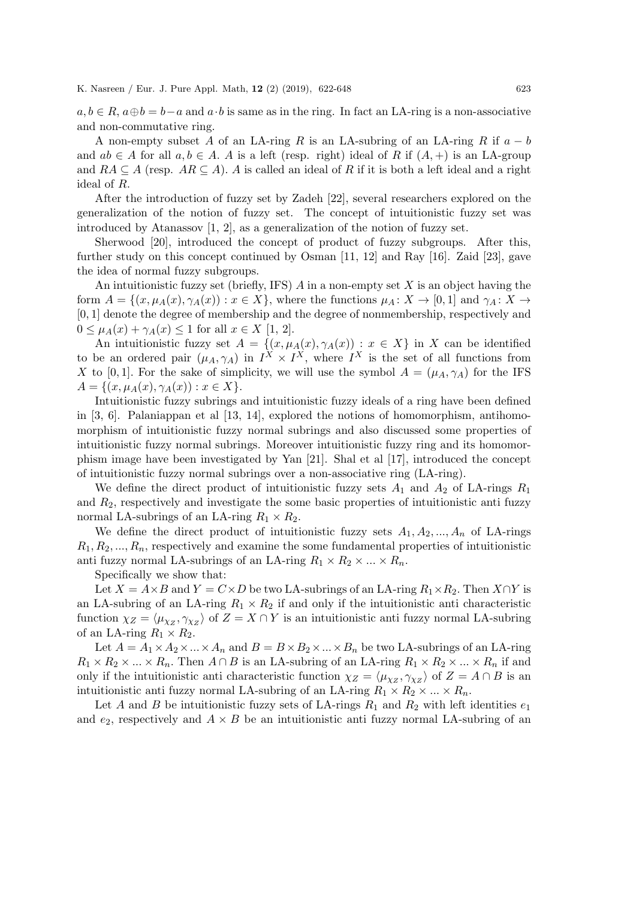$a, b \in R$ ,  $a \oplus b = b - a$  and  $a \cdot b$  is same as in the ring. In fact an LA-ring is a non-associative and non-commutative ring.

A non-empty subset A of an LA-ring R is an LA-subring of an LA-ring R if  $a - b$ and  $ab \in A$  for all  $a, b \in A$ . A is a left (resp. right) ideal of R if  $(A, +)$  is an LA-group and  $RA \subseteq A$  (resp.  $AR \subseteq A$ ). A is called an ideal of R if it is both a left ideal and a right ideal of R.

After the introduction of fuzzy set by Zadeh [22], several researchers explored on the generalization of the notion of fuzzy set. The concept of intuitionistic fuzzy set was introduced by Atanassov [1, 2], as a generalization of the notion of fuzzy set.

Sherwood [20], introduced the concept of product of fuzzy subgroups. After this, further study on this concept continued by Osman [11, 12] and Ray [16]. Zaid [23], gave the idea of normal fuzzy subgroups.

An intuitionistic fuzzy set (briefly, IFS)  $A$  in a non-empty set  $X$  is an object having the form  $A = \{(x, \mu_A(x), \gamma_A(x)) : x \in X\}$ , where the functions  $\mu_A \colon X \to [0, 1]$  and  $\gamma_A \colon X \to$ [0, 1] denote the degree of membership and the degree of nonmembership, respectively and  $0 \leq \mu_A(x) + \gamma_A(x) \leq 1$  for all  $x \in X$  [1, 2].

An intuitionistic fuzzy set  $A = \{(x, \mu_A(x), \gamma_A(x)) : x \in X\}$  in X can be identified to be an ordered pair  $(\mu_A, \gamma_A)$  in  $I^X \times I^X$ , where  $I^X$  is the set of all functions from X to [0,1]. For the sake of simplicity, we will use the symbol  $A = (\mu_A, \gamma_A)$  for the IFS  $A = \{(x, \mu_A(x), \gamma_A(x)) : x \in X\}.$ 

Intuitionistic fuzzy subrings and intuitionistic fuzzy ideals of a ring have been defined in [3, 6]. Palaniappan et al [13, 14], explored the notions of homomorphism, antihomomorphism of intuitionistic fuzzy normal subrings and also discussed some properties of intuitionistic fuzzy normal subrings. Moreover intuitionistic fuzzy ring and its homomorphism image have been investigated by Yan [21]. Shal et al [17], introduced the concept of intuitionistic fuzzy normal subrings over a non-associative ring (LA-ring).

We define the direct product of intuitionistic fuzzy sets  $A_1$  and  $A_2$  of LA-rings  $R_1$ and  $R<sub>2</sub>$ , respectively and investigate the some basic properties of intuitionistic anti fuzzy normal LA-subrings of an LA-ring  $R_1 \times R_2$ .

We define the direct product of intuitionistic fuzzy sets  $A_1, A_2, ..., A_n$  of LA-rings  $R_1, R_2, \ldots, R_n$ , respectively and examine the some fundamental properties of intuitionistic anti fuzzy normal LA-subrings of an LA-ring  $R_1 \times R_2 \times ... \times R_n$ .

Specifically we show that:

Let  $X = A \times B$  and  $Y = C \times D$  be two LA-subrings of an LA-ring  $R_1 \times R_2$ . Then  $X \cap Y$  is an LA-subring of an LA-ring  $R_1 \times R_2$  if and only if the intuitionistic anti-characteristic function  $\chi_Z = \langle \mu_{\chi_Z}, \gamma_{\chi_Z} \rangle$  of  $Z = X \cap Y$  is an intuitionistic anti-fuzzy normal LA-subring of an LA-ring  $R_1 \times R_2$ .

Let  $A = A_1 \times A_2 \times ... \times A_n$  and  $B = B \times B_2 \times ... \times B_n$  be two LA-subrings of an LA-ring  $R_1 \times R_2 \times ... \times R_n$ . Then  $A \cap B$  is an LA-subring of an LA-ring  $R_1 \times R_2 \times ... \times R_n$  if and only if the intuitionistic anti-characteristic function  $\chi_Z = \langle \mu_{\chi_Z}, \gamma_{\chi_Z} \rangle$  of  $Z = A \cap B$  is an intuitionistic anti fuzzy normal LA-subring of an LA-ring  $R_1 \times R_2 \times ... \times R_n$ .

Let A and B be intuitionistic fuzzy sets of LA-rings  $R_1$  and  $R_2$  with left identities  $e_1$ and  $e_2$ , respectively and  $A \times B$  be an intuitionistic anti-fuzzy normal LA-subring of an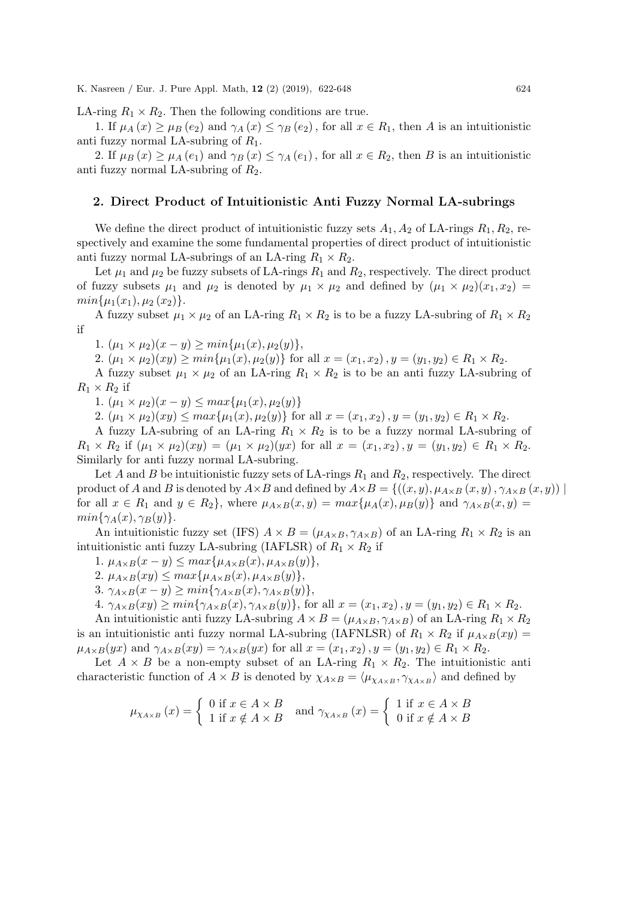LA-ring  $R_1 \times R_2$ . Then the following conditions are true.

1. If  $\mu_A(x) \ge \mu_B(e_2)$  and  $\gamma_A(x) \le \gamma_B(e_2)$ , for all  $x \in R_1$ , then A is an intuitionistic anti fuzzy normal LA-subring of  $R_1$ .

2. If  $\mu_B(x) \geq \mu_A(e_1)$  and  $\gamma_B(x) \leq \gamma_A(e_1)$ , for all  $x \in R_2$ , then B is an intuitionistic anti fuzzy normal LA-subring of  $R_2$ .

#### 2. Direct Product of Intuitionistic Anti Fuzzy Normal LA-subrings

We define the direct product of intuitionistic fuzzy sets  $A_1, A_2$  of LA-rings  $R_1, R_2$ , respectively and examine the some fundamental properties of direct product of intuitionistic anti fuzzy normal LA-subrings of an LA-ring  $R_1 \times R_2$ .

Let  $\mu_1$  and  $\mu_2$  be fuzzy subsets of LA-rings  $R_1$  and  $R_2$ , respectively. The direct product of fuzzy subsets  $\mu_1$  and  $\mu_2$  is denoted by  $\mu_1 \times \mu_2$  and defined by  $(\mu_1 \times \mu_2)(x_1, x_2)$  $min\{\mu_1(x_1), \mu_2(x_2)\}.$ 

A fuzzy subset  $\mu_1 \times \mu_2$  of an LA-ring  $R_1 \times R_2$  is to be a fuzzy LA-subring of  $R_1 \times R_2$ if

1.  $(\mu_1 \times \mu_2)(x - y) \geq min{\mu_1(x), \mu_2(y)},$ 

2.  $(\mu_1 \times \mu_2)(xy) \ge \min\{\mu_1(x), \mu_2(y)\}\$ for all  $x = (x_1, x_2), y = (y_1, y_2) \in R_1 \times R_2$ .

A fuzzy subset  $\mu_1 \times \mu_2$  of an LA-ring  $R_1 \times R_2$  is to be an anti-fuzzy LA-subring of  $R_1 \times R_2$  if

1.  $(\mu_1 \times \mu_2)(x - y) \leq max{\mu_1(x), \mu_2(y)}$ 

2.  $(\mu_1 \times \mu_2)(xy) \le max{\mu_1(x), \mu_2(y)}$  for all  $x = (x_1, x_2), y = (y_1, y_2) \in R_1 \times R_2$ .

A fuzzy LA-subring of an LA-ring  $R_1 \times R_2$  is to be a fuzzy normal LA-subring of  $R_1 \times R_2$  if  $(\mu_1 \times \mu_2)(xy) = (\mu_1 \times \mu_2)(yx)$  for all  $x = (x_1, x_2), y = (y_1, y_2) \in R_1 \times R_2$ . Similarly for anti fuzzy normal LA-subring.

Let A and B be intuitionistic fuzzy sets of LA-rings  $R_1$  and  $R_2$ , respectively. The direct product of A and B is denoted by  $A\times B$  and defined by  $A\times B = \{((x, y), \mu_{A\times B}(x, y), \gamma_{A\times B}(x, y))\mid$ for all  $x \in R_1$  and  $y \in R_2$ , where  $\mu_{A \times B}(x, y) = max{\mu_A(x), \mu_B(y)}$  and  $\gamma_{A \times B}(x, y) =$  $min{\gamma_A(x), \gamma_B(y)}$ .

An intuitionistic fuzzy set (IFS)  $A \times B = (\mu_{A \times B}, \gamma_{A \times B})$  of an LA-ring  $R_1 \times R_2$  is an intuitionistic anti fuzzy LA-subring (IAFLSR) of  $R_1 \times R_2$  if

1.  $\mu_{A\times B}(x-y) \leq max\{\mu_{A\times B}(x), \mu_{A\times B}(y)\},$ 

2.  $\mu_{A\times B}(xy) \leq max\{\mu_{A\times B}(x), \mu_{A\times B}(y)\},\$ 

3.  $\gamma_{A\times B}(x-y) \geq min\{\gamma_{A\times B}(x), \gamma_{A\times B}(y)\},$ 

4.  $\gamma_{A\times B}(xy) \ge min\{\gamma_{A\times B}(x), \gamma_{A\times B}(y)\}\)$ , for all  $x = (x_1, x_2), y = (y_1, y_2) \in R_1 \times R_2$ .

An intuitionistic anti-fuzzy LA-subring  $A \times B = (\mu_{A \times B}, \gamma_{A \times B})$  of an LA-ring  $R_1 \times R_2$ is an intuitionistic anti-fuzzy normal LA-subring (IAFNLSR) of  $R_1 \times R_2$  if  $\mu_{A \times B}(xy) =$  $\mu_{A\times B}(yx)$  and  $\gamma_{A\times B}(xy) = \gamma_{A\times B}(yx)$  for all  $x = (x_1, x_2), y = (y_1, y_2) \in R_1 \times R_2$ .

Let  $A \times B$  be a non-empty subset of an LA-ring  $R_1 \times R_2$ . The intuitionistic anti characteristic function of  $A \times B$  is denoted by  $\chi_{A \times B} = \langle \mu_{\chi_{A \times B}}, \gamma_{\chi_{A \times B}} \rangle$  and defined by

$$
\mu_{\chi_{A\times B}}(x) = \begin{cases} 0 \text{ if } x \in A \times B \\ 1 \text{ if } x \notin A \times B \end{cases} \text{ and } \gamma_{\chi_{A\times B}}(x) = \begin{cases} 1 \text{ if } x \in A \times B \\ 0 \text{ if } x \notin A \times B \end{cases}
$$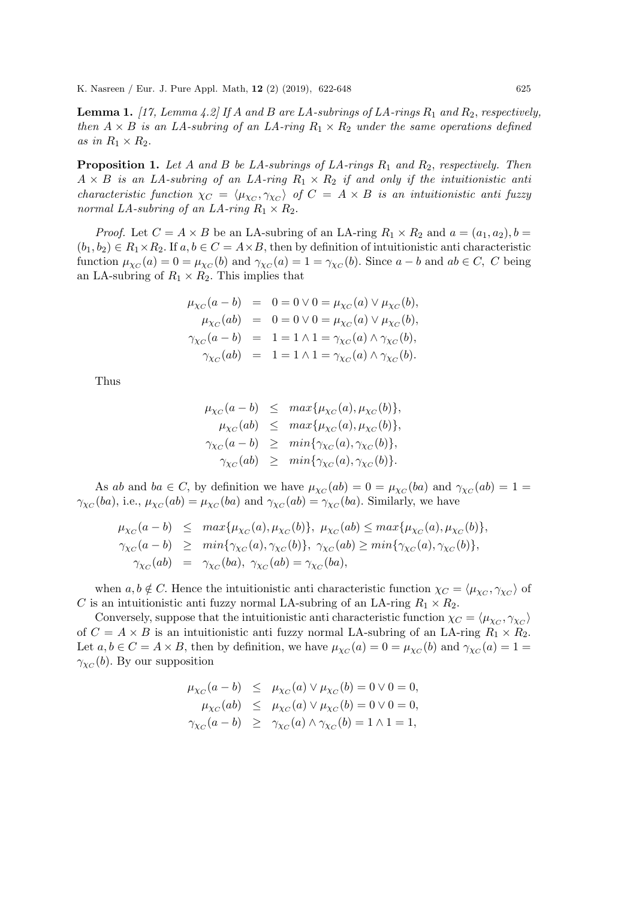**Lemma 1.** [17, Lemma 4.2] If A and B are LA-subrings of LA-rings  $R_1$  and  $R_2$ , respectively, then  $A \times B$  is an LA-subring of an LA-ring  $R_1 \times R_2$  under the same operations defined as in  $R_1 \times R_2$ .

**Proposition 1.** Let A and B be LA-subrings of LA-rings  $R_1$  and  $R_2$ , respectively. Then  $A \times B$  is an LA-subring of an LA-ring  $R_1 \times R_2$  if and only if the intuitionistic anti characteristic function  $\chi_C = \langle \mu_{\chi_C}, \gamma_{\chi_C} \rangle$  of  $C = A \times B$  is an intuitionistic anti-fuzzy normal LA-subring of an LA-ring  $R_1 \times R_2$ .

*Proof.* Let  $C = A \times B$  be an LA-subring of an LA-ring  $R_1 \times R_2$  and  $a = (a_1, a_2), b =$  $(b_1, b_2) \in R_1 \times R_2$ . If  $a, b \in C = A \times B$ , then by definition of intuitionistic anti characteristic function  $\mu_{\chi_C}(a) = 0 = \mu_{\chi_C}(b)$  and  $\gamma_{\chi_C}(a) = 1 = \gamma_{\chi_C}(b)$ . Since  $a - b$  and  $ab \in C$ , C being an LA-subring of  $R_1 \times R_2$ . This implies that

$$
\mu_{\chi_C}(a - b) = 0 = 0 \lor 0 = \mu_{\chi_C}(a) \lor \mu_{\chi_C}(b),
$$
  
\n
$$
\mu_{\chi_C}(ab) = 0 = 0 \lor 0 = \mu_{\chi_C}(a) \lor \mu_{\chi_C}(b),
$$
  
\n
$$
\gamma_{\chi_C}(a - b) = 1 = 1 \land 1 = \gamma_{\chi_C}(a) \land \gamma_{\chi_C}(b),
$$
  
\n
$$
\gamma_{\chi_C}(ab) = 1 = 1 \land 1 = \gamma_{\chi_C}(a) \land \gamma_{\chi_C}(b).
$$

Thus

$$
\mu_{\chi_C}(a-b) \leq \max{\mu_{\chi_C}(a), \mu_{\chi_C}(b)},
$$
  
\n
$$
\mu_{\chi_C}(ab) \leq \max{\mu_{\chi_C}(a), \mu_{\chi_C}(b)},
$$
  
\n
$$
\gamma_{\chi_C}(a-b) \geq \min{\gamma_{\chi_C}(a), \gamma_{\chi_C}(b)},
$$
  
\n
$$
\gamma_{\chi_C}(ab) \geq \min{\gamma_{\chi_C}(a), \gamma_{\chi_C}(b)}.
$$

As ab and ba  $\in C$ , by definition we have  $\mu_{\chi_C}(ab) = 0 = \mu_{\chi_C}(ba)$  and  $\gamma_{\chi_C}(ab) = 1 =$  $\gamma_{\chi_C}(ba)$ , i.e.,  $\mu_{\chi_C}(ab) = \mu_{\chi_C}(ba)$  and  $\gamma_{\chi_C}(ab) = \gamma_{\chi_C}(ba)$ . Similarly, we have

$$
\mu_{\chi_C}(a-b) \leq \max{\mu_{\chi_C}(a), \mu_{\chi_C}(b)}, \mu_{\chi_C}(ab) \leq \max{\mu_{\chi_C}(a), \mu_{\chi_C}(b)},
$$
  
\n
$$
\gamma_{\chi_C}(a-b) \geq \min{\gamma_{\chi_C}(a), \gamma_{\chi_C}(b)}, \gamma_{\chi_C}(ab) \geq \min{\gamma_{\chi_C}(a), \gamma_{\chi_C}(b)},
$$
  
\n
$$
\gamma_{\chi_C}(ab) = \gamma_{\chi_C}(ba), \gamma_{\chi_C}(ab) = \gamma_{\chi_C}(ba),
$$

when  $a, b \notin C$ . Hence the intuitionistic anti characteristic function  $\chi_C = \langle \mu_{\chi_C}, \gamma_{\chi_C} \rangle$  of C is an intuitionistic anti fuzzy normal LA-subring of an LA-ring  $R_1 \times R_2$ .

Conversely, suppose that the intuitionistic anti characteristic function  $\chi_C = \langle \mu_{\chi_C}, \gamma_{\chi_C} \rangle$ of  $C = A \times B$  is an intuitionistic anti-fuzzy normal LA-subring of an LA-ring  $R_1 \times R_2$ . Let  $a, b \in C = A \times B$ , then by definition, we have  $\mu_{\chi_C}(a) = 0 = \mu_{\chi_C}(b)$  and  $\gamma_{\chi_C}(a) = 1 =$  $\gamma_{\chi_C}(b)$ . By our supposition

$$
\mu_{\chi_C}(a-b) \leq \mu_{\chi_C}(a) \vee \mu_{\chi_C}(b) = 0 \vee 0 = 0,
$$
  
\n
$$
\mu_{\chi_C}(ab) \leq \mu_{\chi_C}(a) \vee \mu_{\chi_C}(b) = 0 \vee 0 = 0,
$$
  
\n
$$
\gamma_{\chi_C}(a-b) \geq \gamma_{\chi_C}(a) \wedge \gamma_{\chi_C}(b) = 1 \wedge 1 = 1,
$$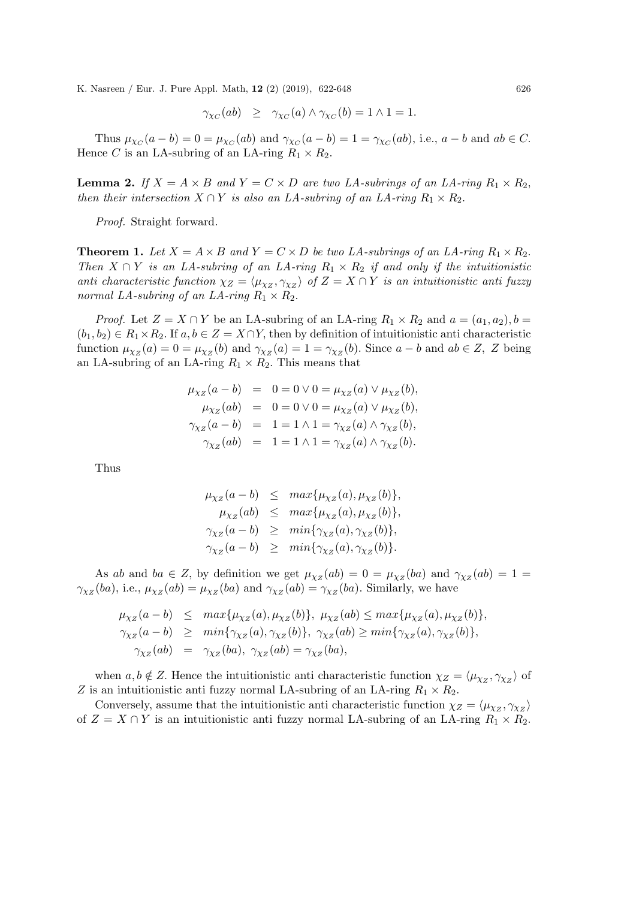$$
\gamma_{\chi_C}(ab) \geq \gamma_{\chi_C}(a) \wedge \gamma_{\chi_C}(b) = 1 \wedge 1 = 1.
$$

Thus  $\mu_{\chi_C}(a-b) = 0 = \mu_{\chi_C}(ab)$  and  $\gamma_{\chi_C}(a-b) = 1 = \gamma_{\chi_C}(ab)$ , i.e.,  $a-b$  and  $ab \in C$ . Hence C is an LA-subring of an LA-ring  $R_1 \times R_2$ .

**Lemma 2.** If  $X = A \times B$  and  $Y = C \times D$  are two LA-subrings of an LA-ring  $R_1 \times R_2$ , then their intersection  $X \cap Y$  is also an LA-subring of an LA-ring  $R_1 \times R_2$ .

Proof. Straight forward.

**Theorem 1.** Let  $X = A \times B$  and  $Y = C \times D$  be two LA-subrings of an LA-ring  $R_1 \times R_2$ . Then  $X \cap Y$  is an LA-subring of an LA-ring  $R_1 \times R_2$  if and only if the intuitionistic anti characteristic function  $\chi_Z = \langle \mu_{\chi_Z}, \gamma_{\chi_Z} \rangle$  of  $Z = X \cap Y$  is an intuitionistic anti fuzzy normal LA-subring of an LA-ring  $R_1 \times R_2$ .

*Proof.* Let  $Z = X \cap Y$  be an LA-subring of an LA-ring  $R_1 \times R_2$  and  $a = (a_1, a_2), b =$  $(b_1, b_2) \in R_1 \times R_2$ . If  $a, b \in Z = X \cap Y$ , then by definition of intuitionistic anti characteristic function  $\mu_{\chi_Z}(a) = 0 = \mu_{\chi_Z}(b)$  and  $\gamma_{\chi_Z}(a) = 1 = \gamma_{\chi_Z}(b)$ . Since  $a - b$  and  $ab \in Z$ , Z being an LA-subring of an LA-ring  $R_1 \times R_2$ . This means that

$$
\mu_{\chi_Z}(a - b) = 0 = 0 \lor 0 = \mu_{\chi_Z}(a) \lor \mu_{\chi_Z}(b),
$$
  
\n
$$
\mu_{\chi_Z}(ab) = 0 = 0 \lor 0 = \mu_{\chi_Z}(a) \lor \mu_{\chi_Z}(b),
$$
  
\n
$$
\gamma_{\chi_Z}(a - b) = 1 = 1 \land 1 = \gamma_{\chi_Z}(a) \land \gamma_{\chi_Z}(b),
$$
  
\n
$$
\gamma_{\chi_Z}(ab) = 1 = 1 \land 1 = \gamma_{\chi_Z}(a) \land \gamma_{\chi_Z}(b).
$$

Thus

$$
\mu_{\chi_Z}(a-b) \leq \max{\mu_{\chi_Z}(a), \mu_{\chi_Z}(b)},
$$
  
\n
$$
\mu_{\chi_Z}(ab) \leq \max{\mu_{\chi_Z}(a), \mu_{\chi_Z}(b)},
$$
  
\n
$$
\gamma_{\chi_Z}(a-b) \geq \min{\gamma_{\chi_Z}(a), \gamma_{\chi_Z}(b)},
$$
  
\n
$$
\gamma_{\chi_Z}(a-b) \geq \min{\gamma_{\chi_Z}(a), \gamma_{\chi_Z}(b)}.
$$

As ab and ba  $\in Z$ , by definition we get  $\mu_{\chi_Z}(ab) = 0 = \mu_{\chi_Z}(ba)$  and  $\gamma_{\chi_Z}(ab) = 1 =$  $\gamma_{\chi_Z}(ba)$ , i.e.,  $\mu_{\chi_Z}(ab) = \mu_{\chi_Z}(ba)$  and  $\gamma_{\chi_Z}(ab) = \gamma_{\chi_Z}(ba)$ . Similarly, we have

$$
\mu_{\chi_Z}(a-b) \leq \max{\mu_{\chi_Z}(a), \mu_{\chi_Z}(b)}, \mu_{\chi_Z}(ab) \leq \max{\mu_{\chi_Z}(a), \mu_{\chi_Z}(b)},
$$
  
\n
$$
\gamma_{\chi_Z}(a-b) \geq \min{\gamma_{\chi_Z}(a), \gamma_{\chi_Z}(b)}, \gamma_{\chi_Z}(ab) \geq \min{\gamma_{\chi_Z}(a), \gamma_{\chi_Z}(b)},
$$
  
\n
$$
\gamma_{\chi_Z}(ab) = \gamma_{\chi_Z}(ba), \gamma_{\chi_Z}(ab) = \gamma_{\chi_Z}(ba),
$$

when  $a, b \notin Z$ . Hence the intuitionistic anti characteristic function  $\chi_Z = \langle \mu_{\chi_Z}, \gamma_{\chi_Z} \rangle$  of Z is an intuitionistic anti-fuzzy normal LA-subring of an LA-ring  $R_1 \times R_2$ .

Conversely, assume that the intuitionistic anti characteristic function  $\chi_Z = \langle \mu_{\chi_Z}, \gamma_{\chi_Z} \rangle$ of  $Z = X \cap Y$  is an intuitionistic anti-fuzzy normal LA-subring of an LA-ring  $R_1 \times R_2$ .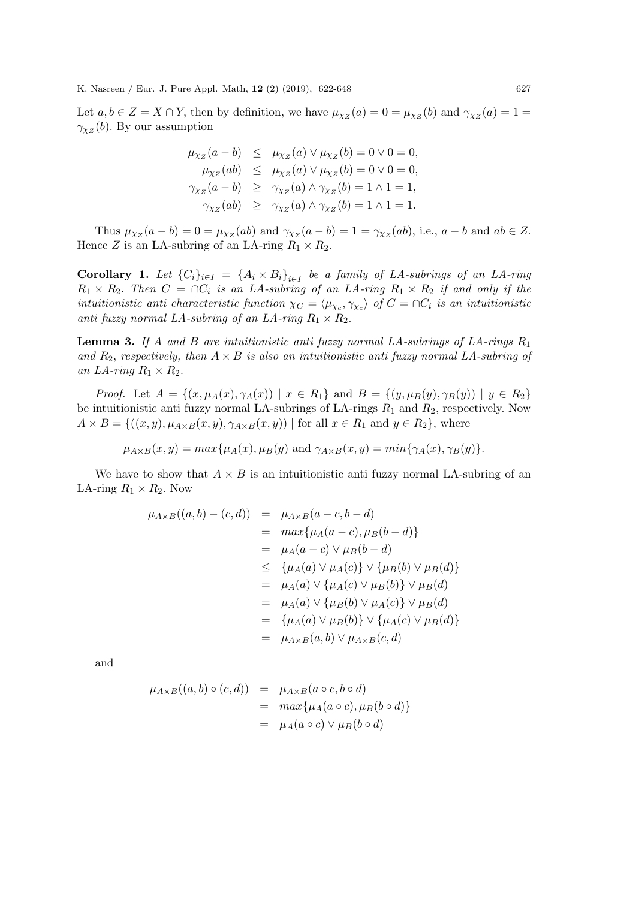Let  $a, b \in Z = X \cap Y$ , then by definition, we have  $\mu_{\chi_Z}(a) = 0 = \mu_{\chi_Z}(b)$  and  $\gamma_{\chi_Z}(a) = 1 =$  $\gamma_{\chi_Z}(b)$ . By our assumption

$$
\mu_{\chi_Z}(a - b) \leq \mu_{\chi_Z}(a) \vee \mu_{\chi_Z}(b) = 0 \vee 0 = 0,
$$
  
\n
$$
\mu_{\chi_Z}(ab) \leq \mu_{\chi_Z}(a) \vee \mu_{\chi_Z}(b) = 0 \vee 0 = 0,
$$
  
\n
$$
\gamma_{\chi_Z}(a - b) \geq \gamma_{\chi_Z}(a) \wedge \gamma_{\chi_Z}(b) = 1 \wedge 1 = 1,
$$
  
\n
$$
\gamma_{\chi_Z}(ab) \geq \gamma_{\chi_Z}(a) \wedge \gamma_{\chi_Z}(b) = 1 \wedge 1 = 1.
$$

Thus  $\mu_{\chi_Z}(a-b) = 0 = \mu_{\chi_Z}(ab)$  and  $\gamma_{\chi_Z}(a-b) = 1 = \gamma_{\chi_Z}(ab)$ , i.e.,  $a-b$  and  $ab \in Z$ . Hence Z is an LA-subring of an LA-ring  $R_1 \times R_2$ .

**Corollary 1.** Let  $\{C_i\}_{i\in I} = \{A_i \times B_i\}_{i\in I}$  be a family of LA-subrings of an LA-ring  $R_1 \times R_2$ . Then  $C = \bigcap C_i$  is an LA-subring of an LA-ring  $R_1 \times R_2$  if and only if the intuitionistic anti characteristic function  $\chi_C = \langle \mu_{\chi_c}, \gamma_{\chi_c} \rangle$  of  $C = \cap C_i$  is an intuitionistic anti fuzzy normal LA-subring of an LA-ring  $R_1 \times R_2$ .

**Lemma 3.** If A and B are intuitionistic anti-fuzzy normal LA-subrings of LA-rings  $R_1$ and  $R_2$ , respectively, then  $A \times B$  is also an intuitionistic anti-fuzzy normal LA-subring of an LA-ring  $R_1 \times R_2$ .

*Proof.* Let  $A = \{(x, \mu_A(x), \gamma_A(x)) \mid x \in R_1\}$  and  $B = \{(y, \mu_B(y), \gamma_B(y)) \mid y \in R_2\}$ be intuitionistic anti fuzzy normal LA-subrings of LA-rings  $R_1$  and  $R_2$ , respectively. Now  $A \times B = \{((x, y), \mu_{A \times B}(x, y), \gamma_{A \times B}(x, y)) \mid \text{for all } x \in R_1 \text{ and } y \in R_2\},\$ where

 $\mu_{A\times B}(x, y) = max{\mu_A(x), \mu_B(y)}$  and  $\gamma_{A\times B}(x, y) = min{\gamma_A(x), \gamma_B(y)}$ .

We have to show that  $A \times B$  is an intuitionistic anti-fuzzy normal LA-subring of an LA-ring  $R_1 \times R_2$ . Now

$$
\mu_{A \times B}((a, b) - (c, d)) = \mu_{A \times B}(a - c, b - d)
$$
  
=  $max{\mu_A(a - c), \mu_B(b - d)}$   
=  $\mu_A(a - c) \vee \mu_B(b - d)$   
 $\leq {\mu_A(a) \vee \mu_A(c)} \vee {\mu_B(b) \vee \mu_B(d)}$   
=  $\mu_A(a) \vee {\mu_A(c) \vee \mu_B(b)} \vee \mu_B(d)$   
=  $\mu_A(a) \vee {\mu_B(b) \vee \mu_A(c)} \vee \mu_B(d)$   
=  ${\mu_A(a) \vee \mu_B(b)} \vee {\mu_A(c) \vee \mu_B(d)}$   
=  $\mu_{A \times B}(a, b) \vee \mu_{A \times B}(c, d)$ 

and

$$
\mu_{A \times B}((a, b) \circ (c, d)) = \mu_{A \times B}(a \circ c, b \circ d)
$$
  
= 
$$
\max{\mu_A(a \circ c), \mu_B(b \circ d)}
$$
  
= 
$$
\mu_A(a \circ c) \vee \mu_B(b \circ d)
$$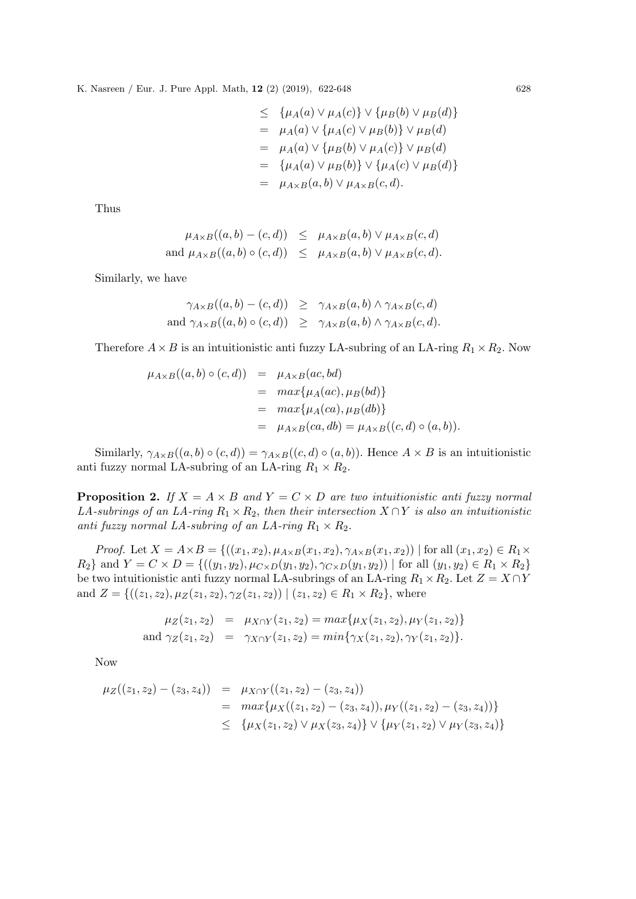$$
\leq \{\mu_A(a) \vee \mu_A(c)\} \vee \{\mu_B(b) \vee \mu_B(d)\}
$$
  
=  $\mu_A(a) \vee \{\mu_A(c) \vee \mu_B(b)\} \vee \mu_B(d)$   
=  $\mu_A(a) \vee \{\mu_B(b) \vee \mu_A(c)\} \vee \mu_B(d)$   
=  $\{\mu_A(a) \vee \mu_B(b)\} \vee \{\mu_A(c) \vee \mu_B(d)\}$   
=  $\mu_{A \times B}(a, b) \vee \mu_{A \times B}(c, d).$ 

Thus

$$
\mu_{A \times B}((a, b) - (c, d)) \leq \mu_{A \times B}(a, b) \vee \mu_{A \times B}(c, d)
$$
  
and 
$$
\mu_{A \times B}((a, b) \circ (c, d)) \leq \mu_{A \times B}(a, b) \vee \mu_{A \times B}(c, d).
$$

Similarly, we have

$$
\gamma_{A \times B}((a, b) - (c, d)) \geq \gamma_{A \times B}(a, b) \land \gamma_{A \times B}(c, d)
$$
  
and 
$$
\gamma_{A \times B}((a, b) \circ (c, d)) \geq \gamma_{A \times B}(a, b) \land \gamma_{A \times B}(c, d).
$$

Therefore  $A \times B$  is an intuitionistic anti-fuzzy LA-subring of an LA-ring  $R_1 \times R_2$ . Now

$$
\mu_{A \times B}((a, b) \circ (c, d)) = \mu_{A \times B}(ac, bd)
$$
  
= 
$$
max{\mu_A(ac), \mu_B(bd)}
$$
  
= 
$$
max{\mu_A(ca), \mu_B(db)}
$$
  
= 
$$
\mu_{A \times B}(ca, db) = \mu_{A \times B}((c, d) \circ (a, b)).
$$

Similarly,  $\gamma_{A\times B}((a, b) \circ (c, d)) = \gamma_{A\times B}((c, d) \circ (a, b))$ . Hence  $A \times B$  is an intuitionistic anti fuzzy normal LA-subring of an LA-ring  $R_1 \times R_2$ .

**Proposition 2.** If  $X = A \times B$  and  $Y = C \times D$  are two intuitionistic anti-LA-subrings of an LA-ring  $R_1 \times R_2$ , then their intersection  $X \cap Y$  is also an intuitionistic anti fuzzy normal LA-subring of an LA-ring  $R_1 \times R_2$ .

*Proof.* Let  $X = A \times B = \{((x_1, x_2), \mu_{A \times B}(x_1, x_2), \gamma_{A \times B}(x_1, x_2)) | \text{ for all } (x_1, x_2) \in R_1 \times R_2\}$  $R_2$ } and  $Y = C \times D = \{((y_1, y_2), \mu_{C \times D}(y_1, y_2), \gamma_{C \times D}(y_1, y_2)) | \text{ for all } (y_1, y_2) \in R_1 \times R_2\}$ be two intuitionistic anti fuzzy normal LA-subrings of an LA-ring  $R_1 \times R_2$ . Let  $Z = X \cap Y$ and  $Z = \{((z_1, z_2), \mu_Z(z_1, z_2), \gamma_Z(z_1, z_2)) | (z_1, z_2) \in R_1 \times R_2\}$ , where

$$
\mu_Z(z_1, z_2) = \mu_{X \cap Y}(z_1, z_2) = \max\{\mu_X(z_1, z_2), \mu_Y(z_1, z_2)\}
$$
  
and  $\gamma_Z(z_1, z_2) = \gamma_{X \cap Y}(z_1, z_2) = \min\{\gamma_X(z_1, z_2), \gamma_Y(z_1, z_2)\}.$ 

Now

$$
\mu_Z((z_1, z_2) - (z_3, z_4)) = \mu_{X \cap Y}((z_1, z_2) - (z_3, z_4))
$$
  
= 
$$
\max \{ \mu_X((z_1, z_2) - (z_3, z_4)), \mu_Y((z_1, z_2) - (z_3, z_4)) \}
$$
  

$$
\leq \{ \mu_X(z_1, z_2) \vee \mu_X(z_3, z_4) \} \vee \{ \mu_Y(z_1, z_2) \vee \mu_Y(z_3, z_4) \}
$$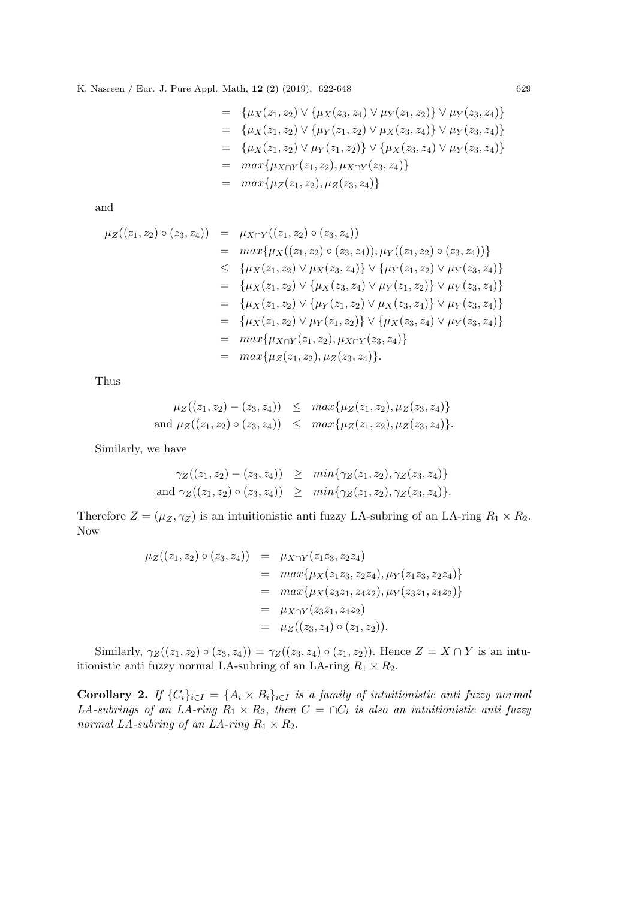$$
= \{\mu_X(z_1, z_2) \vee \{\mu_X(z_3, z_4) \vee \mu_Y(z_1, z_2)\} \vee \mu_Y(z_3, z_4)\}
$$
  
\n
$$
= \{\mu_X(z_1, z_2) \vee \{\mu_Y(z_1, z_2) \vee \mu_X(z_3, z_4)\} \vee \mu_Y(z_3, z_4)\}
$$
  
\n
$$
= \{\mu_X(z_1, z_2) \vee \mu_Y(z_1, z_2)\} \vee \{\mu_X(z_3, z_4) \vee \mu_Y(z_3, z_4)\}
$$
  
\n
$$
= \max\{\mu_{X \cap Y}(z_1, z_2), \mu_{X \cap Y}(z_3, z_4)\}
$$
  
\n
$$
= \max\{\mu_Z(z_1, z_2), \mu_Z(z_3, z_4)\}
$$

and

$$
\mu_Z((z_1, z_2) \circ (z_3, z_4)) = \mu_{X \cap Y}((z_1, z_2) \circ (z_3, z_4)), \mu_Y((z_1, z_2) \circ (z_3, z_4)) \}
$$
  
\n
$$
= \max \{ \mu_X((z_1, z_2) \circ (z_3, z_4)), \mu_Y((z_1, z_2) \circ (z_3, z_4)) \}
$$
  
\n
$$
\leq \{ \mu_X(z_1, z_2) \vee \mu_X(z_3, z_4) \} \vee \{ \mu_Y(z_1, z_2) \vee \mu_Y(z_3, z_4) \}
$$
  
\n
$$
= \{ \mu_X(z_1, z_2) \vee \{ \mu_Y(z_1, z_2) \vee \mu_X(z_3, z_4) \} \vee \mu_Y(z_3, z_4) \}
$$
  
\n
$$
= \{ \mu_X(z_1, z_2) \vee \mu_Y(z_1, z_2) \} \vee \{ \mu_X(z_3, z_4) \vee \mu_Y(z_3, z_4) \}
$$
  
\n
$$
= \max \{ \mu_{X \cap Y}(z_1, z_2), \mu_{X \cap Y}(z_3, z_4) \}
$$
  
\n
$$
= \max \{ \mu_Z(z_1, z_2), \mu_Z(z_3, z_4) \}.
$$

Thus

$$
\mu_Z((z_1, z_2) - (z_3, z_4)) \leq \max\{\mu_Z(z_1, z_2), \mu_Z(z_3, z_4)\}
$$
  
and 
$$
\mu_Z((z_1, z_2) \circ (z_3, z_4)) \leq \max\{\mu_Z(z_1, z_2), \mu_Z(z_3, z_4)\}.
$$

Similarly, we have

$$
\gamma_Z((z_1, z_2) - (z_3, z_4)) \geq \min\{\gamma_Z(z_1, z_2), \gamma_Z(z_3, z_4)\}
$$
  
and 
$$
\gamma_Z((z_1, z_2) \circ (z_3, z_4)) \geq \min\{\gamma_Z(z_1, z_2), \gamma_Z(z_3, z_4)\}.
$$

Therefore  $Z = (\mu_Z, \gamma_Z)$  is an intuitionistic anti-fuzzy LA-subring of an LA-ring  $R_1 \times R_2$ . Now

$$
\mu_Z((z_1, z_2) \circ (z_3, z_4)) = \mu_{X \cap Y}(z_1 z_3, z_2 z_4)
$$
  
= 
$$
\max \{ \mu_X(z_1 z_3, z_2 z_4), \mu_Y(z_1 z_3, z_2 z_4) \}
$$
  
= 
$$
\max \{ \mu_X(z_3 z_1, z_4 z_2), \mu_Y(z_3 z_1, z_4 z_2) \}
$$
  
= 
$$
\mu_{X \cap Y}(z_3 z_1, z_4 z_2)
$$
  
= 
$$
\mu_Z((z_3, z_4) \circ (z_1, z_2)).
$$

Similarly,  $\gamma_Z((z_1, z_2) \circ (z_3, z_4)) = \gamma_Z((z_3, z_4) \circ (z_1, z_2))$ . Hence  $Z = X \cap Y$  is an intuitionistic anti fuzzy normal LA-subring of an LA-ring  $R_1\times R_2.$ 

Corollary 2. If  $\{C_i\}_{i\in I} = \{A_i \times B_i\}_{i\in I}$  is a family of intuitionistic anti-fuzzy normal LA-subrings of an LA-ring  $R_1 \times R_2$ , then  $C = \bigcap C_i$  is also an intuitionistic anti fuzzy normal LA-subring of an LA-ring  $R_1 \times R_2$ .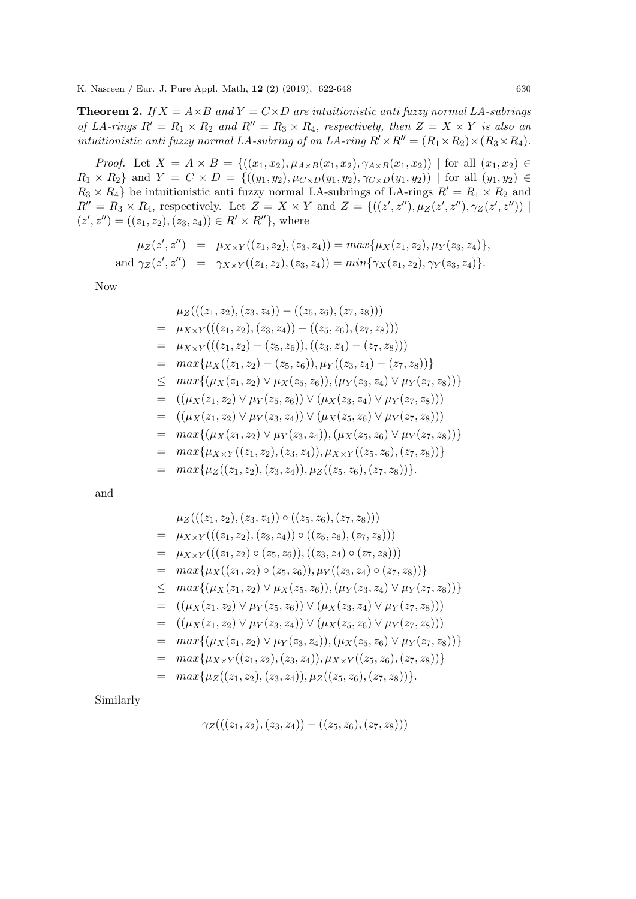**Theorem 2.** If  $X = A \times B$  and  $Y = C \times D$  are intuitionistic anti-uzzy normal LA-subrings of LA-rings  $R' = R_1 \times R_2$  and  $R'' = R_3 \times R_4$ , respectively, then  $Z = X \times Y$  is also an intuitionistic anti fuzzy normal LA-subring of an LA-ring  $R' \times R'' = (R_1 \times R_2) \times (R_3 \times R_4)$ .

*Proof.* Let  $X = A \times B = \{((x_1, x_2), \mu_{A \times B}(x_1, x_2), \gamma_{A \times B}(x_1, x_2)) \mid \text{for all } (x_1, x_2) \in$  $R_1 \times R_2$  and  $Y = C \times D = \{((y_1, y_2), \mu_{C \times D}(y_1, y_2), \gamma_{C \times D}(y_1, y_2)) \mid \text{for all } (y_1, y_2) \in$  $R_3 \times R_4$  be intuitionistic anti-fuzzy normal LA-subrings of LA-rings  $R' = R_1 \times R_2$  and  $R'' = R_3 \times R_4$ , respectively. Let  $Z = X \times Y$  and  $Z = \{((z', z''), \mu_Z(z', z''), \gamma_Z(z', z'')) \mid$  $(z', z'') = ((z_1, z_2), (z_3, z_4)) \in R' \times R''$ , where

$$
\mu_Z(z', z'') = \mu_{X \times Y}((z_1, z_2), (z_3, z_4)) = \max{\mu_X(z_1, z_2), \mu_Y(z_3, z_4)},
$$
  
and  $\gamma_Z(z', z'') = \gamma_{X \times Y}((z_1, z_2), (z_3, z_4)) = \min{\gamma_X(z_1, z_2), \gamma_Y(z_3, z_4)}.$ 

Now

$$
\mu_Z(((z_1, z_2), (z_3, z_4)) - ((z_5, z_6), (z_7, z_8)))
$$
\n
$$
= \mu_{X \times Y}(((z_1, z_2), (z_3, z_4)) - ((z_5, z_6), (z_7, z_8)))
$$
\n
$$
= \mu_{X \times Y}(((z_1, z_2) - (z_5, z_6)), ((z_3, z_4) - (z_7, z_8)))
$$
\n
$$
= \max \{\mu_X((z_1, z_2) - (z_5, z_6)), \mu_Y((z_3, z_4) - (z_7, z_8))\}
$$
\n
$$
\leq \max \{(\mu_X(z_1, z_2) \vee \mu_X(z_5, z_6)), (\mu_Y(z_3, z_4) \vee \mu_Y(z_7, z_8))\}
$$
\n
$$
= ((\mu_X(z_1, z_2) \vee \mu_Y(z_5, z_6)) \vee (\mu_X(z_3, z_4) \vee \mu_Y(z_7, z_8)))
$$
\n
$$
= ((\mu_X(z_1, z_2) \vee \mu_Y(z_3, z_4)) \vee (\mu_X(z_5, z_6) \vee \mu_Y(z_7, z_8)))
$$
\n
$$
= \max \{(\mu_X(z_1, z_2) \vee \mu_Y(z_3, z_4)), (\mu_X(z_5, z_6) \vee \mu_Y(z_7, z_8))\}
$$
\n
$$
= \max \{\mu_{X \times Y}((z_1, z_2), (z_3, z_4)), \mu_{X \times Y}((z_5, z_6), (z_7, z_8))\}
$$
\n
$$
= \max \{\mu_Z((z_1, z_2), (z_3, z_4)), \mu_Z((z_5, z_6), (z_7, z_8))\}.
$$

and

$$
\mu_Z(((z_1, z_2), (z_3, z_4)) \circ ((z_5, z_6), (z_7, z_8)))
$$
\n
$$
= \mu_{X \times Y}(((z_1, z_2), (z_3, z_4)) \circ ((z_5, z_6), (z_7, z_8)))
$$
\n
$$
= \mu_{X \times Y}(((z_1, z_2) \circ (z_5, z_6)), ((z_3, z_4) \circ (z_7, z_8)))
$$
\n
$$
= \max \{\mu_X((z_1, z_2) \circ (z_5, z_6)), \mu_Y((z_3, z_4) \circ (z_7, z_8))\}
$$
\n
$$
\leq \max \{(\mu_X(z_1, z_2) \vee \mu_X(z_5, z_6)), (\mu_Y(z_3, z_4) \vee \mu_Y(z_7, z_8))\}
$$
\n
$$
= ((\mu_X(z_1, z_2) \vee \mu_Y(z_5, z_6)) \vee (\mu_X(z_3, z_4) \vee \mu_Y(z_7, z_8)))
$$
\n
$$
= (\mu_X(z_1, z_2) \vee \mu_Y(z_3, z_4)) \vee (\mu_X(z_5, z_6) \vee \mu_Y(z_7, z_8)))
$$
\n
$$
= \max \{(\mu_X(z_1, z_2) \vee \mu_Y(z_3, z_4)), (\mu_X(z_5, z_6) \vee \mu_Y(z_7, z_8))\}
$$
\n
$$
= \max \{\mu_{X \times Y}((z_1, z_2), (z_3, z_4)), \mu_{X \times Y}((z_5, z_6), (z_7, z_8))\}
$$
\n
$$
= \max \{\mu_Z((z_1, z_2), (z_3, z_4)), \mu_Z((z_5, z_6), (z_7, z_8))\}.
$$

Similarly

$$
\gamma_Z(((z_1,z_2),(z_3,z_4)) - ((z_5,z_6),(z_7,z_8)))
$$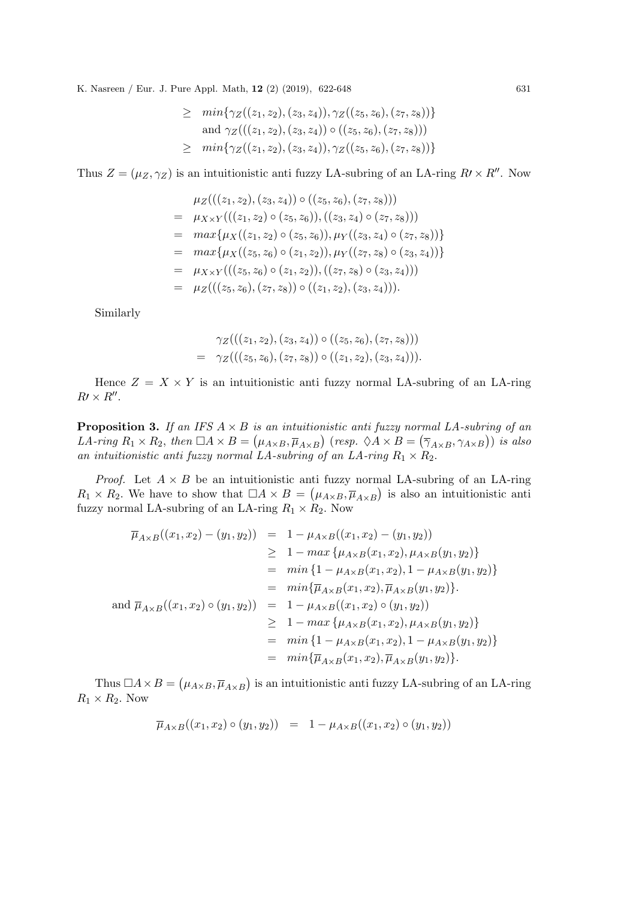$$
\geq \min \{ \gamma_Z((z_1, z_2), (z_3, z_4)), \gamma_Z((z_5, z_6), (z_7, z_8)) \}
$$
  
and 
$$
\gamma_Z(((z_1, z_2), (z_3, z_4)) \circ ((z_5, z_6), (z_7, z_8)))
$$
  

$$
\geq \min \{ \gamma_Z((z_1, z_2), (z_3, z_4)), \gamma_Z((z_5, z_6), (z_7, z_8)) \}
$$

Thus  $Z = (\mu_Z, \gamma_Z)$  is an intuitionistic anti-fuzzy LA-subring of an LA-ring  $R \times R''$ . Now

$$
\mu_Z(((z_1, z_2), (z_3, z_4)) \circ ((z_5, z_6), (z_7, z_8)))
$$
\n
$$
= \mu_{X \times Y}(((z_1, z_2) \circ (z_5, z_6)), ((z_3, z_4) \circ (z_7, z_8)))
$$
\n
$$
= \max \{ \mu_X((z_1, z_2) \circ (z_5, z_6)), \mu_Y((z_3, z_4) \circ (z_7, z_8)) \}
$$
\n
$$
= \max \{ \mu_X((z_5, z_6) \circ (z_1, z_2)), \mu_Y((z_7, z_8) \circ (z_3, z_4)) \}
$$
\n
$$
= \mu_{X \times Y}(((z_5, z_6) \circ (z_1, z_2)), ((z_7, z_8) \circ (z_3, z_4)))
$$
\n
$$
= \mu_Z(((z_5, z_6), (z_7, z_8)) \circ ((z_1, z_2), (z_3, z_4))).
$$

Similarly

$$
\gamma_Z(((z_1, z_2), (z_3, z_4)) \circ ((z_5, z_6), (z_7, z_8)))
$$
  
= 
$$
\gamma_Z(((z_5, z_6), (z_7, z_8)) \circ ((z_1, z_2), (z_3, z_4))).
$$

Hence  $Z = X \times Y$  is an intuitionistic anti-unitary normal LA-subring of an LA-ring  $R\prime \times R^{\prime\prime}$ .

**Proposition 3.** If an IFS  $A \times B$  is an intuitionistic anti fuzzy normal LA-subring of an LA-ring  $R_1 \times R_2$ , then  $\Box A \times B = (\mu_{A \times B}, \overline{\mu}_{A \times B})$  (resp.  $\Diamond A \times B = (\overline{\gamma}_{A \times B}, \gamma_{A \times B})$ ) is also an intuitionistic anti fuzzy normal LA-subring of an LA-ring  $R_1 \times R_2$ .

*Proof.* Let  $A \times B$  be an intuitionistic anti-unitary normal LA-subring of an LA-ring  $R_1 \times R_2$ . We have to show that  $\Box A \times B = (\mu_{A \times B}, \overline{\mu}_{A \times B})$  is also an intuitionistic anti fuzzy normal LA-subring of an LA-ring  $R_1 \times R_2$ . Now

$$
\overline{\mu}_{A \times B}((x_1, x_2) - (y_1, y_2)) = 1 - \mu_{A \times B}((x_1, x_2) - (y_1, y_2))
$$
\n
$$
\geq 1 - \max \{ \mu_{A \times B}(x_1, x_2), \mu_{A \times B}(y_1, y_2) \}
$$
\n
$$
= \min \{ 1 - \mu_{A \times B}(x_1, x_2), 1 - \mu_{A \times B}(y_1, y_2) \}
$$
\n
$$
= \min \{ \overline{\mu}_{A \times B}(x_1, x_2), \overline{\mu}_{A \times B}(y_1, y_2) \}.
$$
\nand  $\overline{\mu}_{A \times B}((x_1, x_2) \circ (y_1, y_2)) = 1 - \mu_{A \times B}((x_1, x_2) \circ (y_1, y_2))$   
\n
$$
\geq 1 - \max \{ \mu_{A \times B}(x_1, x_2), \mu_{A \times B}(y_1, y_2) \}
$$
\n
$$
= \min \{ 1 - \mu_{A \times B}(x_1, x_2), 1 - \mu_{A \times B}(y_1, y_2) \}
$$
\n
$$
= \min \{ \overline{\mu}_{A \times B}(x_1, x_2), \overline{\mu}_{A \times B}(y_1, y_2) \}.
$$

Thus  $\Box A \times B = (\mu_{A \times B}, \overline{\mu}_{A \times B})$  is an intuitionistic anti-rule fuzzy LA-subring of an LA-ring  $R_1 \times R_2$ . Now

$$
\overline{\mu}_{A\times B}((x_1,x_2)\circ (y_1,y_2)) = 1 - \mu_{A\times B}((x_1,x_2)\circ (y_1,y_2))
$$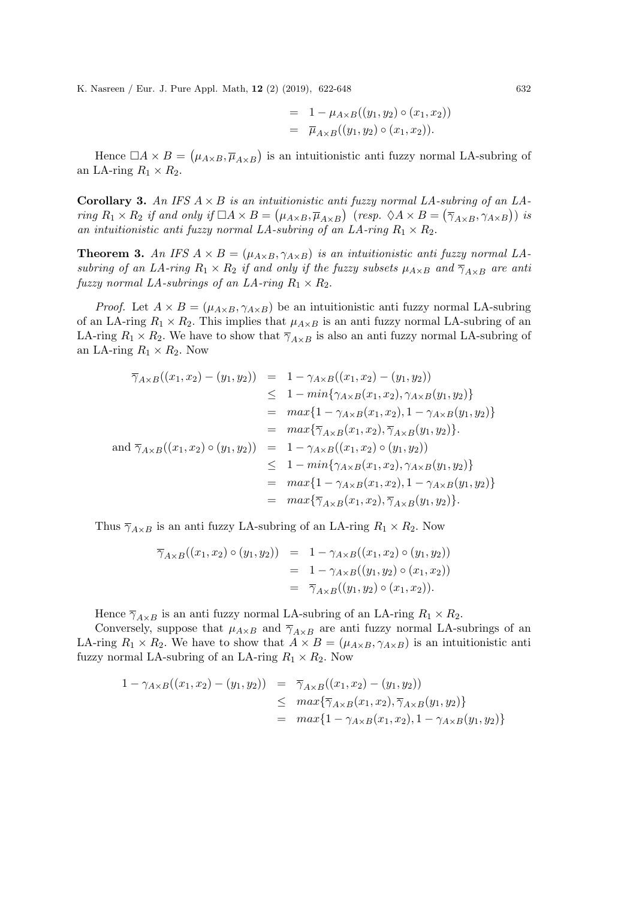$$
= 1 - \mu_{A \times B}((y_1, y_2) \circ (x_1, x_2))
$$
  
=  $\overline{\mu}_{A \times B}((y_1, y_2) \circ (x_1, x_2)).$ 

Hence  $\Box A \times B = (\mu_{A \times B}, \overline{\mu}_{A \times B})$  is an intuitionistic anti-fuzzy normal LA-subring of an LA-ring  $R_1 \times R_2$ .

**Corollary 3.** An IFS  $A \times B$  is an intuitionistic anti fuzzy normal LA-subring of an LAring  $R_1 \times R_2$  if and only if  $\Box A \times B = (\mu_{A \times B}, \overline{\mu}_{A \times B})$  (resp.  $\Diamond A \times B = (\overline{\gamma}_{A \times B}, \gamma_{A \times B})$ ) is an intuitionistic anti fuzzy normal LA-subring of an LA-ring  $R_1 \times R_2$ .

**Theorem 3.** An IFS  $A \times B = (\mu_{A \times B}, \gamma_{A \times B})$  is an intuitionistic anti-fuzzy normal LAsubring of an LA-ring  $R_1 \times R_2$  if and only if the fuzzy subsets  $\mu_{A \times B}$  and  $\overline{\gamma}_{A \times B}$  are anti fuzzy normal LA-subrings of an LA-ring  $R_1 \times R_2$ .

*Proof.* Let  $A \times B = (\mu_{A \times B}, \gamma_{A \times B})$  be an intuitionistic anti-uzzy normal LA-subring of an LA-ring  $R_1 \times R_2$ . This implies that  $\mu_{A \times B}$  is an anti-fuzzy normal LA-subring of an LA-ring  $R_1 \times R_2$ . We have to show that  $\overline{\gamma}_{A \times B}$  is also an anti-fuzzy normal LA-subring of an LA-ring  $R_1 \times R_2$ . Now

$$
\overline{\gamma}_{A \times B}((x_1, x_2) - (y_1, y_2)) = 1 - \gamma_{A \times B}((x_1, x_2) - (y_1, y_2))
$$
\n
$$
\leq 1 - \min\{\gamma_{A \times B}(x_1, x_2), \gamma_{A \times B}(y_1, y_2)\}
$$
\n
$$
= \max\{1 - \gamma_{A \times B}(x_1, x_2), 1 - \gamma_{A \times B}(y_1, y_2)\}
$$
\n
$$
= \max\{\overline{\gamma}_{A \times B}(x_1, x_2), \overline{\gamma}_{A \times B}(y_1, y_2)\}.
$$
\nand 
$$
\overline{\gamma}_{A \times B}((x_1, x_2) \circ (y_1, y_2)) = 1 - \gamma_{A \times B}((x_1, x_2) \circ (y_1, y_2))
$$
\n
$$
\leq 1 - \min\{\gamma_{A \times B}(x_1, x_2), \gamma_{A \times B}(y_1, y_2)\}
$$
\n
$$
= \max\{1 - \gamma_{A \times B}(x_1, x_2), \overline{\gamma}_{A \times B}(y_1, y_2)\}
$$
\n
$$
= \max\{\overline{\gamma}_{A \times B}(x_1, x_2), \overline{\gamma}_{A \times B}(y_1, y_2)\}.
$$

Thus  $\overline{\gamma}_{A\times B}$  is an anti-fuzzy LA-subring of an LA-ring  $R_1 \times R_2$ . Now

$$
\overline{\gamma}_{A \times B}((x_1, x_2) \circ (y_1, y_2)) = 1 - \gamma_{A \times B}((x_1, x_2) \circ (y_1, y_2))
$$
  
= 1 - \gamma\_{A \times B}((y\_1, y\_2) \circ (x\_1, x\_2))  
= \overline{\gamma}\_{A \times B}((y\_1, y\_2) \circ (x\_1, x\_2)).

Hence  $\overline{\gamma}_{A\times B}$  is an anti-fuzzy normal LA-subring of an LA-ring  $R_1 \times R_2$ .

Conversely, suppose that  $\mu_{A\times B}$  and  $\overline{\gamma}_{A\times B}$  are anti-fuzzy normal LA-subrings of an LA-ring  $R_1 \times R_2$ . We have to show that  $A \times B = (\mu_{A \times B}, \gamma_{A \times B})$  is an intuitionistic anti fuzzy normal LA-subring of an LA-ring  $R_1 \times R_2$ . Now

$$
1 - \gamma_{A \times B}((x_1, x_2) - (y_1, y_2)) = \overline{\gamma}_{A \times B}((x_1, x_2) - (y_1, y_2))
$$
  
\n
$$
\leq \max \{ \overline{\gamma}_{A \times B}(x_1, x_2), \overline{\gamma}_{A \times B}(y_1, y_2) \}
$$
  
\n
$$
= \max \{ 1 - \gamma_{A \times B}(x_1, x_2), 1 - \gamma_{A \times B}(y_1, y_2) \}
$$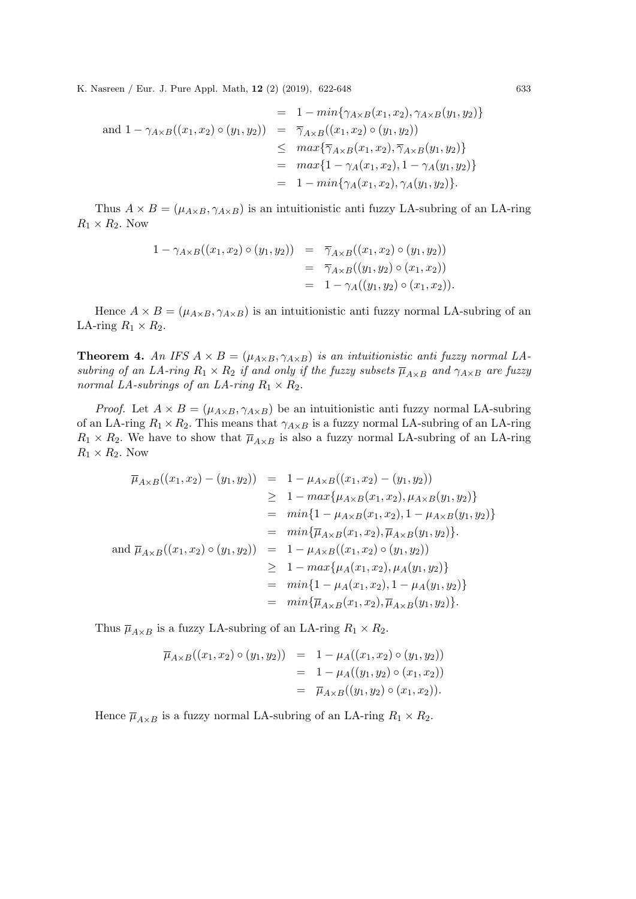$$
= 1 - min{\gamma_{A \times B}(x_1, x_2), \gamma_{A \times B}(y_1, y_2)}
$$
  
\nand  $1 - \gamma_{A \times B}((x_1, x_2) \circ (y_1, y_2))$   
\n
$$
\leq \frac{\overline{\gamma}_{A \times B}((x_1, x_2) \circ (y_1, y_2))}{\gamma_{A \times B}(x_1, x_2), \overline{\gamma}_{A \times B}(y_1, y_2)}
$$
  
\n
$$
= \frac{max\{1 - \gamma_A(x_1, x_2), 1 - \gamma_A(y_1, y_2)\}}{1 - min\{\gamma_A(x_1, x_2), \gamma_A(y_1, y_2)\}}.
$$

Thus  $A \times B = (\mu_{A \times B}, \gamma_{A \times B})$  is an intuitionistic anti-uzzy LA-subring of an LA-ring  $R_1 \times R_2$ . Now

$$
1 - \gamma_{A \times B}((x_1, x_2) \circ (y_1, y_2)) = \overline{\gamma}_{A \times B}((x_1, x_2) \circ (y_1, y_2))
$$
  
=  $\overline{\gamma}_{A \times B}((y_1, y_2) \circ (x_1, x_2))$   
=  $1 - \gamma_A((y_1, y_2) \circ (x_1, x_2)).$ 

Hence  $A \times B = (\mu_{A \times B}, \gamma_{A \times B})$  is an intuitionistic anti-unitary normal LA-subring of an LA-ring  $R_1 \times R_2$ .

**Theorem 4.** An IFS  $A \times B = (\mu_{A \times B}, \gamma_{A \times B})$  is an intuitionistic anti-fuzzy normal LAsubring of an LA-ring  $R_1 \times R_2$  if and only if the fuzzy subsets  $\overline{\mu}_{A \times B}$  and  $\gamma_{A \times B}$  are fuzzy normal LA-subrings of an LA-ring  $R_1 \times R_2$ .

*Proof.* Let  $A \times B = (\mu_{A \times B}, \gamma_{A \times B})$  be an intuitionistic anti-unitary normal LA-subring of an LA-ring  $R_1 \times R_2$ . This means that  $\gamma_{A \times B}$  is a fuzzy normal LA-subring of an LA-ring  $R_1 \times R_2$ . We have to show that  $\overline{\mu}_{A \times B}$  is also a fuzzy normal LA-subring of an LA-ring  $R_1 \times R_2$ . Now

$$
\overline{\mu}_{A \times B}((x_1, x_2) - (y_1, y_2)) = 1 - \mu_{A \times B}((x_1, x_2) - (y_1, y_2))
$$
\n
$$
\geq 1 - \max{\mu_{A \times B}(x_1, x_2), \mu_{A \times B}(y_1, y_2)}
$$
\n
$$
= \min\{1 - \mu_{A \times B}(x_1, x_2), 1 - \mu_{A \times B}(y_1, y_2)\}
$$
\n
$$
= \min\{\overline{\mu}_{A \times B}(x_1, x_2), \overline{\mu}_{A \times B}(y_1, y_2)\}.
$$
\nand  $\overline{\mu}_{A \times B}((x_1, x_2) \circ (y_1, y_2)) = 1 - \mu_{A \times B}((x_1, x_2) \circ (y_1, y_2))$   
\n
$$
\geq 1 - \max{\mu_A(x_1, x_2), \mu_A(y_1, y_2)}\}
$$
\n
$$
= \min\{1 - \mu_A(x_1, x_2), 1 - \mu_A(y_1, y_2)\}
$$
\n
$$
= \min\{\overline{\mu}_{A \times B}(x_1, x_2), \overline{\mu}_{A \times B}(y_1, y_2)\}.
$$

Thus  $\overline{\mu}_{A\times B}$  is a fuzzy LA-subring of an LA-ring  $R_1 \times R_2$ .

$$
\overline{\mu}_{A \times B}((x_1, x_2) \circ (y_1, y_2)) = 1 - \mu_A((x_1, x_2) \circ (y_1, y_2))
$$
  
= 1 - \mu\_A((y\_1, y\_2) \circ (x\_1, x\_2))  
= \overline{\mu}\_{A \times B}((y\_1, y\_2) \circ (x\_1, x\_2)).

Hence  $\overline{\mu}_{A\times B}$  is a fuzzy normal LA-subring of an LA-ring  $R_1 \times R_2$ .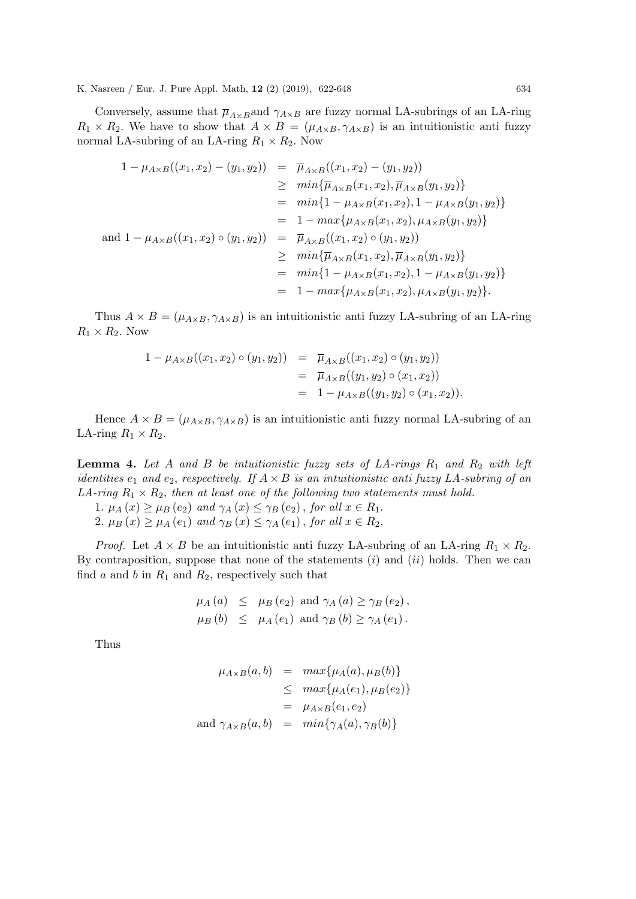Conversely, assume that  $\overline{\mu}_{A\times B}$  and  $\gamma_{A\times B}$  are fuzzy normal LA-subrings of an LA-ring  $R_1 \times R_2$ . We have to show that  $A \times B = (\mu_{A \times B}, \gamma_{A \times B})$  is an intuitionistic antinormal LA-subring of an LA-ring  $R_1 \times R_2$ . Now

$$
1 - \mu_{A \times B}((x_1, x_2) - (y_1, y_2)) = \overline{\mu}_{A \times B}((x_1, x_2) - (y_1, y_2))
$$
  
\n
$$
\geq min{\overline{\mu}_{A \times B}(x_1, x_2), \overline{\mu}_{A \times B}(y_1, y_2)}
$$
  
\n
$$
= min{1 - \mu_{A \times B}(x_1, x_2), 1 - \mu_{A \times B}(y_1, y_2)}
$$
  
\n
$$
= 1 - max{\mu_{A \times B}(x_1, x_2), \mu_{A \times B}(y_1, y_2)}
$$
  
\nand 
$$
1 - \mu_{A \times B}((x_1, x_2) \circ (y_1, y_2)) = \overline{\mu}_{A \times B}((x_1, x_2) \circ (y_1, y_2))
$$
  
\n
$$
\geq min{\overline{\mu}_{A \times B}(x_1, x_2), \overline{\mu}_{A \times B}(y_1, y_2)}
$$
  
\n
$$
= min{1 - \mu_{A \times B}(x_1, x_2), 1 - \mu_{A \times B}(y_1, y_2)}
$$
  
\n
$$
= 1 - max{\mu_{A \times B}(x_1, x_2), \mu_{A \times B}(y_1, y_2)}
$$
.

Thus  $A \times B = (\mu_{A \times B}, \gamma_{A \times B})$  is an intuitionistic anti-uzzy LA-subring of an LA-ring  $R_1 \times R_2$ . Now

$$
1 - \mu_{A \times B}((x_1, x_2) \circ (y_1, y_2)) = \overline{\mu}_{A \times B}((x_1, x_2) \circ (y_1, y_2))
$$
  
=  $\overline{\mu}_{A \times B}((y_1, y_2) \circ (x_1, x_2))$   
=  $1 - \mu_{A \times B}((y_1, y_2) \circ (x_1, x_2)).$ 

Hence  $A \times B = (\mu_{A \times B}, \gamma_{A \times B})$  is an intuitionistic anti-fuzzy normal LA-subring of an LA-ring  $R_1 \times R_2$ .

**Lemma 4.** Let A and B be intuitionistic fuzzy sets of LA-rings  $R_1$  and  $R_2$  with left identities  $e_1$  and  $e_2$ , respectively. If  $A \times B$  is an intuitionistic anti fuzzy LA-subring of an LA-ring  $R_1 \times R_2$ , then at least one of the following two statements must hold.

- 1.  $\mu_A(x) \geq \mu_B(e_2)$  and  $\gamma_A(x) \leq \gamma_B(e_2)$ , for all  $x \in R_1$ .
- 2.  $\mu_B(x) \geq \mu_A(e_1)$  and  $\gamma_B(x) \leq \gamma_A(e_1)$ , for all  $x \in R_2$ .

*Proof.* Let  $A \times B$  be an intuitionistic anti-unitary LA-subring of an LA-ring  $R_1 \times R_2$ . By contraposition, suppose that none of the statements  $(i)$  and  $(ii)$  holds. Then we can find a and b in  $R_1$  and  $R_2$ , respectively such that

$$
\mu_A(a) \leq \mu_B(e_2) \text{ and } \gamma_A(a) \geq \gamma_B(e_2),
$$
  
\n
$$
\mu_B(b) \leq \mu_A(e_1) \text{ and } \gamma_B(b) \geq \gamma_A(e_1).
$$

Thus

$$
\mu_{A \times B}(a, b) = \max{\mu_A(a), \mu_B(b)}
$$
  
\n
$$
\leq \max{\mu_A(e_1), \mu_B(e_2)}
$$
  
\n
$$
= \mu_{A \times B}(e_1, e_2)
$$
  
\nand  $\gamma_{A \times B}(a, b) = \min{\gamma_A(a), \gamma_B(b)}$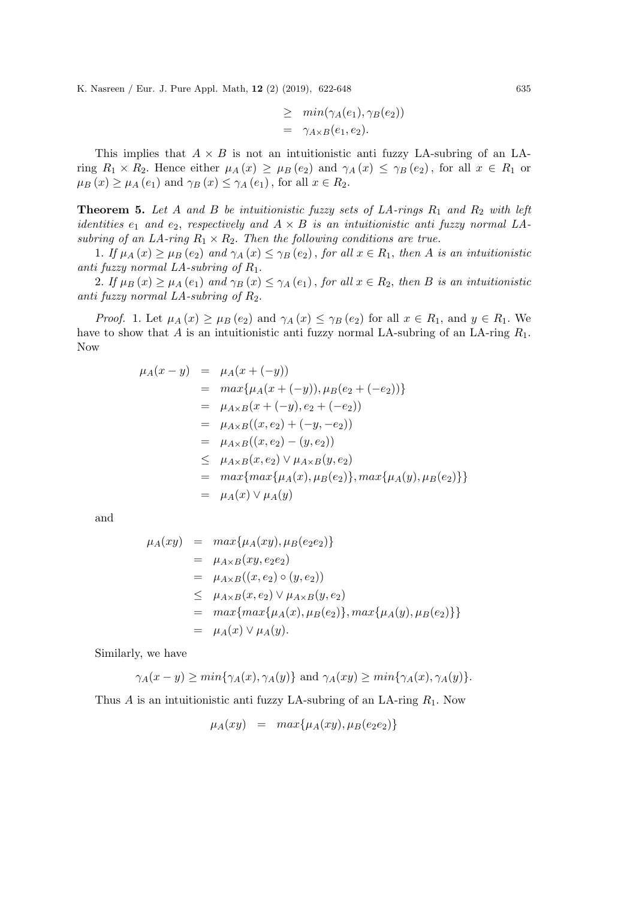$$
\geq \min(\gamma_A(e_1), \gamma_B(e_2))
$$
  
=  $\gamma_{A \times B}(e_1, e_2).$ 

This implies that  $A \times B$  is not an intuitionistic anti-unitary LA-subring of an LAring  $R_1 \times R_2$ . Hence either  $\mu_A(x) \geq \mu_B(e_2)$  and  $\gamma_A(x) \leq \gamma_B(e_2)$ , for all  $x \in R_1$  or  $\mu_B(x) \geq \mu_A(e_1)$  and  $\gamma_B(x) \leq \gamma_A(e_1)$ , for all  $x \in R_2$ .

**Theorem 5.** Let A and B be intuitionistic fuzzy sets of  $LA$ -rings  $R_1$  and  $R_2$  with left *identities*  $e_1$  and  $e_2$ , respectively and  $A \times B$  is an intuitionistic anti fuzzy normal LAsubring of an LA-ring  $R_1 \times R_2$ . Then the following conditions are true.

1. If  $\mu_A(x) \geq \mu_B(e_2)$  and  $\gamma_A(x) \leq \gamma_B(e_2)$ , for all  $x \in R_1$ , then A is an intuitionistic anti fuzzy normal  $LA$ -subring of  $R_1$ .

2. If  $\mu_B(x) \geq \mu_A(e_1)$  and  $\gamma_B(x) \leq \gamma_A(e_1)$ , for all  $x \in R_2$ , then B is an intuitionistic anti fuzzy normal  $LA$ -subring of  $R_2$ .

*Proof.* 1. Let  $\mu_A(x) \geq \mu_B(e_2)$  and  $\gamma_A(x) \leq \gamma_B(e_2)$  for all  $x \in R_1$ , and  $y \in R_1$ . We have to show that A is an intuitionistic anti-unity normal LA-subring of an LA-ring  $R_1$ . Now

$$
\mu_A(x - y) = \mu_A(x + (-y))
$$
  
=  $max{\mu_A(x + (-y)), \mu_B(e_2 + (-e_2))}$   
=  $\mu_{A \times B}(x + (-y), e_2 + (-e_2))$   
=  $\mu_{A \times B}((x, e_2) + (-y, -e_2))$   
=  $\mu_{A \times B}((x, e_2) - (y, e_2))$   
 $\leq \mu_{A \times B}(x, e_2) \vee \mu_{A \times B}(y, e_2)$   
=  $max{\max{\mu_A(x), \mu_B(e_2)},{max{\mu_A(y), \mu_B(e_2)}}}$   
=  $\mu_A(x) \vee \mu_A(y)$ 

and

$$
\mu_A(xy) = \max{\mu_A(xy), \mu_B(e_2e_2)}
$$
  
=  $\mu_{A \times B}(xy, e_2e_2)$   
=  $\mu_{A \times B}((x, e_2) \circ (y, e_2))$   
 $\leq \mu_{A \times B}(x, e_2) \vee \mu_{A \times B}(y, e_2)$   
=  $\max{\max{\mu_A(x), \mu_B(e_2) }, \max{\mu_A(y), \mu_B(e_2) }} = \mu_A(x) \vee \mu_A(y).$ 

Similarly, we have

$$
\gamma_A(x - y) \ge \min\{\gamma_A(x), \gamma_A(y)\} \text{ and } \gamma_A(xy) \ge \min\{\gamma_A(x), \gamma_A(y)\}.
$$

Thus A is an intuitionistic anti-unity LA-subring of an LA-ring  $R_1$ . Now

$$
\mu_A(xy) = \max\{\mu_A(xy), \mu_B(e_2e_2)\}\
$$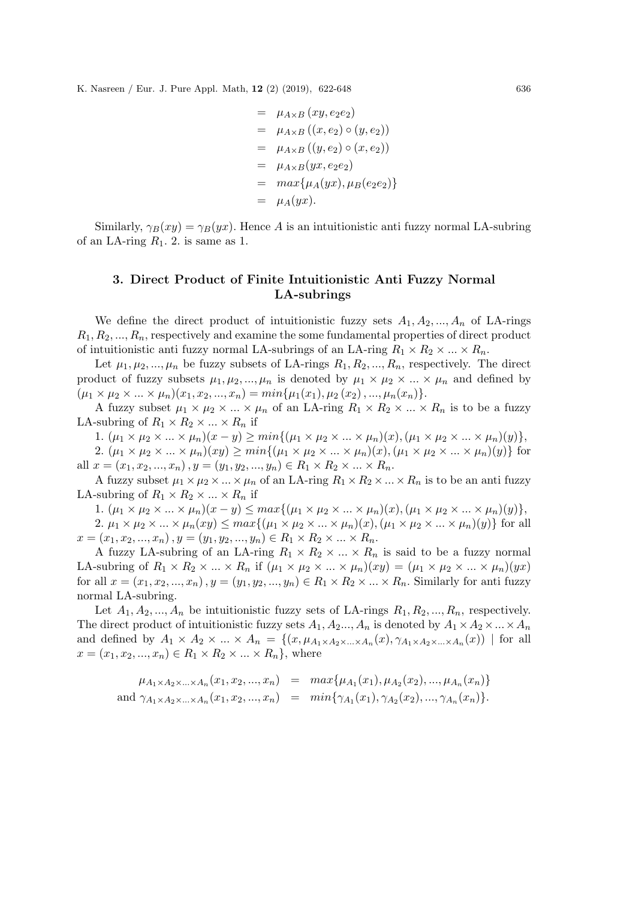$$
= \mu_{A \times B} (xy, e_2e_2)
$$
  
=  $\mu_{A \times B} ((x, e_2) \circ (y, e_2))$   
=  $\mu_{A \times B} ((y, e_2) \circ (x, e_2))$   
=  $\mu_{A \times B} (yx, e_2e_2)$   
=  $max{\mu_A(yx), \mu_B(e_2e_2)}$   
=  $\mu_A(yx)$ .

Similarly,  $\gamma_B(xy) = \gamma_B(yx)$ . Hence A is an intuitionistic anti-uzzy normal LA-subring of an LA-ring  $R_1$ . 2. is same as 1.

## 3. Direct Product of Finite Intuitionistic Anti Fuzzy Normal LA-subrings

We define the direct product of intuitionistic fuzzy sets  $A_1, A_2, ..., A_n$  of LA-rings  $R_1, R_2, ..., R_n$ , respectively and examine the some fundamental properties of direct product of intuitionistic anti-fuzzy normal LA-subrings of an LA-ring  $R_1 \times R_2 \times ... \times R_n$ .

Let  $\mu_1, \mu_2, ..., \mu_n$  be fuzzy subsets of LA-rings  $R_1, R_2, ..., R_n$ , respectively. The direct product of fuzzy subsets  $\mu_1, \mu_2, ..., \mu_n$  is denoted by  $\mu_1 \times \mu_2 \times ... \times \mu_n$  and defined by  $(\mu_1 \times \mu_2 \times ... \times \mu_n)(x_1, x_2, ..., x_n) = min{\mu_1(x_1), \mu_2(x_2), ..., \mu_n(x_n)}.$ 

A fuzzy subset  $\mu_1 \times \mu_2 \times ... \times \mu_n$  of an LA-ring  $R_1 \times R_2 \times ... \times R_n$  is to be a fuzzy LA-subring of  $R_1 \times R_2 \times ... \times R_n$  if

1.  $(\mu_1 \times \mu_2 \times ... \times \mu_n)(x - y) \ge \min\{(\mu_1 \times \mu_2 \times ... \times \mu_n)(x), (\mu_1 \times \mu_2 \times ... \times \mu_n)(y)\},\$ 

2.  $(\mu_1 \times \mu_2 \times ... \times \mu_n)(xy) \ge \min\{(\mu_1 \times \mu_2 \times ... \times \mu_n)(x), (\mu_1 \times \mu_2 \times ... \times \mu_n)(y)\}\$ for all  $x = (x_1, x_2, ..., x_n), y = (y_1, y_2, ..., y_n) \in R_1 \times R_2 \times ... \times R_n$ .

A fuzzy subset  $\mu_1 \times \mu_2 \times \ldots \times \mu_n$  of an LA-ring  $R_1 \times R_2 \times \ldots \times R_n$  is to be an anti fuzzy LA-subring of  $R_1 \times R_2 \times ... \times R_n$  if

1.  $(\mu_1 \times \mu_2 \times ... \times \mu_n)(x - y) \leq max\{(\mu_1 \times \mu_2 \times ... \times \mu_n)(x), (\mu_1 \times \mu_2 \times ... \times \mu_n)(y)\},\$ 2.  $\mu_1 \times \mu_2 \times \ldots \times \mu_n(xy) \leq max\{(\mu_1 \times \mu_2 \times \ldots \times \mu_n)(x), (\mu_1 \times \mu_2 \times \ldots \times \mu_n)(y)\}\$ for all  $x = (x_1, x_2, ..., x_n), y = (y_1, y_2, ..., y_n) \in R_1 \times R_2 \times ... \times R_n.$ 

A fuzzy LA-subring of an LA-ring  $R_1 \times R_2 \times ... \times R_n$  is said to be a fuzzy normal LA-subring of  $R_1 \times R_2 \times ... \times R_n$  if  $(\mu_1 \times \mu_2 \times ... \times \mu_n)(xy) = (\mu_1 \times \mu_2 \times ... \times \mu_n)(yx)$ for all  $x = (x_1, x_2, ..., x_n), y = (y_1, y_2, ..., y_n) \in R_1 \times R_2 \times ... \times R_n$ . Similarly for antinormal LA-subring.

Let  $A_1, A_2, ..., A_n$  be intuitionistic fuzzy sets of LA-rings  $R_1, R_2, ..., R_n$ , respectively. The direct product of intuitionistic fuzzy sets  $A_1, A_2, ..., A_n$  is denoted by  $A_1 \times A_2 \times ... \times A_n$ and defined by  $A_1 \times A_2 \times ... \times A_n = \{(x, \mu_{A_1 \times A_2 \times ... \times A_n}(x), \gamma_{A_1 \times A_2 \times ... \times A_n}(x)) \mid \text{for all}$  $x = (x_1, x_2, ..., x_n) \in R_1 \times R_2 \times ... \times R_n$ , where

$$
\mu_{A_1 \times A_2 \times ... \times A_n}(x_1, x_2, ..., x_n) = \max{\mu_{A_1}(x_1), \mu_{A_2}(x_2), ..., \mu_{A_n}(x_n)}
$$
  
and  $\gamma_{A_1 \times A_2 \times ... \times A_n}(x_1, x_2, ..., x_n) = \min{\gamma_{A_1}(x_1), \gamma_{A_2}(x_2), ..., \gamma_{A_n}(x_n)}$ .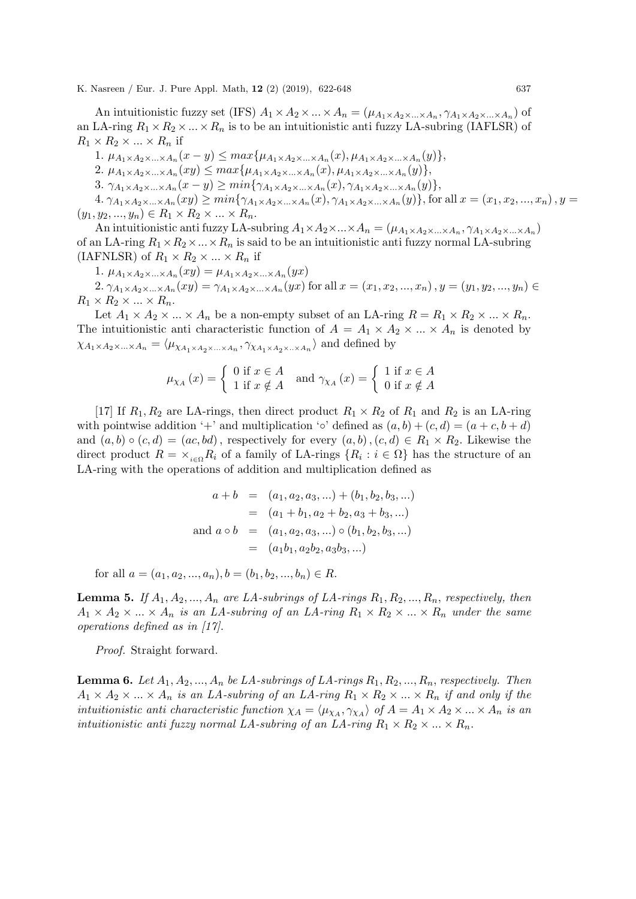An intuitionistic fuzzy set (IFS)  $A_1 \times A_2 \times ... \times A_n = (\mu_{A_1 \times A_2 \times ... \times A_n}, \gamma_{A_1 \times A_2 \times ... \times A_n})$  of an LA-ring  $R_1 \times R_2 \times \ldots \times R_n$  is to be an intuitionistic anti-fuzzy LA-subring (IAFLSR) of  $R_1 \times R_2 \times \ldots \times R_n$  if

1.  $\mu_{A_1 \times A_2 \times ... \times A_n}(x - y) \leq max\{\mu_{A_1 \times A_2 \times ... \times A_n}(x), \mu_{A_1 \times A_2 \times ... \times A_n}(y)\},$ 

2.  $\mu_{A_1 \times A_2 \times ... \times A_n}(xy) \leq max\{\mu_{A_1 \times A_2 \times ... \times A_n}(x), \mu_{A_1 \times A_2 \times ... \times A_n}(y)\},$ 

3.  $\gamma_{A_1 \times A_2 \times ... \times A_n}(x - y) \ge min\{\gamma_{A_1 \times A_2 \times ... \times A_n}(x), \gamma_{A_1 \times A_2 \times ... \times A_n}(y)\},$ 

 $4. \gamma_{A_1 \times A_2 \times ... \times A_n}(xy) \geq min\{\gamma_{A_1 \times A_2 \times ... \times A_n}(x), \gamma_{A_1 \times A_2 \times ... \times A_n}(y)\},$  for all  $x = (x_1, x_2, ..., x_n)$ ,  $y =$  $(y_1, y_2, ..., y_n) \in R_1 \times R_2 \times ... \times R_n$ .

An intuitionistic anti fuzzy LA-subring  $A_1 \times A_2 \times ... \times A_n = (\mu_{A_1} \times A_2 \times ... \times A_n, \gamma_{A_1} \times A_2 \times ... \times A_n)$ of an LA-ring  $R_1 \times R_2 \times ... \times R_n$  is said to be an intuitionistic anti fuzzy normal LA-subring (IAFNLSR) of  $R_1 \times R_2 \times ... \times R_n$  if

1.  $\mu_{A_1 \times A_2 \times ... \times A_n}(xy) = \mu_{A_1 \times A_2 \times ... \times A_n}(yx)$ 

2.  $\gamma_{A_1 \times A_2 \times ... \times A_n}(xy) = \gamma_{A_1 \times A_2 \times ... \times A_n}(yx)$  for all  $x = (x_1, x_2, ..., x_n), y = (y_1, y_2, ..., y_n) \in$  $R_1 \times R_2 \times ... \times R_n$ .

Let  $A_1 \times A_2 \times ... \times A_n$  be a non-empty subset of an LA-ring  $R = R_1 \times R_2 \times ... \times R_n$ . The intuitionistic anti-characteristic function of  $A = A_1 \times A_2 \times ... \times A_n$  is denoted by  $\chi_{A_1 \times A_2 \times ... \times A_n} = \langle \mu_{\chi_{A_1 \times A_2 \times ... \times A_n}}, \gamma_{\chi_{A_1 \times A_2 \times ... \times A_n}} \rangle$  and defined by

$$
\mu_{\chi_A}(x) = \begin{cases} 0 \text{ if } x \in A \\ 1 \text{ if } x \notin A \end{cases} \text{ and } \gamma_{\chi_A}(x) = \begin{cases} 1 \text{ if } x \in A \\ 0 \text{ if } x \notin A \end{cases}
$$

[17] If  $R_1, R_2$  are LA-rings, then direct product  $R_1 \times R_2$  of  $R_1$  and  $R_2$  is an LA-ring with pointwise addition '+' and multiplication ' $\circ$ ' defined as  $(a, b) + (c, d) = (a + c, b + d)$ and  $(a, b) \circ (c, d) = (ac, bd)$ , respectively for every  $(a, b)$ ,  $(c, d) \in R_1 \times R_2$ . Likewise the direct product  $R = \times_{i \in \Omega} R_i$  of a family of LA-rings  $\{R_i : i \in \Omega\}$  has the structure of an LA-ring with the operations of addition and multiplication defined as

$$
a + b = (a_1, a_2, a_3, ...) + (b_1, b_2, b_3, ...)
$$
  
=  $(a_1 + b_1, a_2 + b_2, a_3 + b_3, ...)$   
and  $a \circ b = (a_1, a_2, a_3, ...) \circ (b_1, b_2, b_3, ...)$   
=  $(a_1b_1, a_2b_2, a_3b_3, ...)$ 

for all  $a = (a_1, a_2, ..., a_n), b = (b_1, b_2, ..., b_n) \in R$ .

**Lemma 5.** If  $A_1, A_2, ..., A_n$  are LA-subrings of LA-rings  $R_1, R_2, ..., R_n$ , respectively, then  $A_1 \times A_2 \times ... \times A_n$  is an LA-subring of an LA-ring  $R_1 \times R_2 \times ... \times R_n$  under the same operations defined as in [17].

Proof. Straight forward.

**Lemma 6.** Let  $A_1, A_2, ..., A_n$  be LA-subrings of LA-rings  $R_1, R_2, ..., R_n$ , respectively. Then  $A_1 \times A_2 \times ... \times A_n$  is an LA-subring of an LA-ring  $R_1 \times R_2 \times ... \times R_n$  if and only if the intuitionistic anti-characteristic function  $\chi_A = \langle \mu_{\chi_A}, \gamma_{\chi_A} \rangle$  of  $A = A_1 \times A_2 \times ... \times A_n$  is an intuitionistic anti fuzzy normal LA-subring of an LA-ring  $R_1 \times R_2 \times ... \times R_n$ .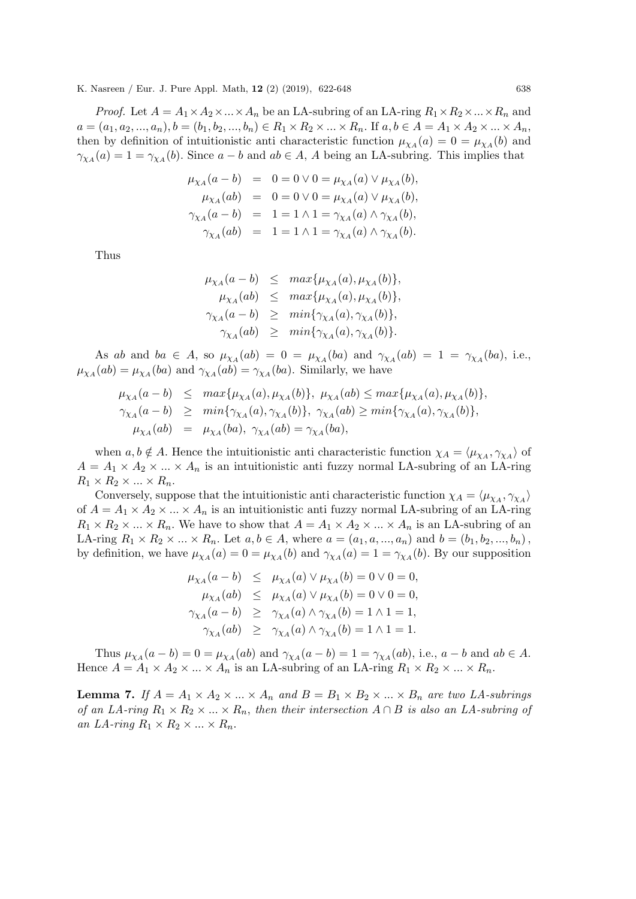*Proof.* Let  $A = A_1 \times A_2 \times ... \times A_n$  be an LA-subring of an LA-ring  $R_1 \times R_2 \times ... \times R_n$  and  $a = (a_1, a_2, ..., a_n), b = (b_1, b_2, ..., b_n) \in R_1 \times R_2 \times ... \times R_n$ . If  $a, b \in A = A_1 \times A_2 \times ... \times A_n$ , then by definition of intuitionistic anti characteristic function  $\mu_{\chi_A}(a) = 0 = \mu_{\chi_A}(b)$  and  $\gamma_{\chi_A}(a) = 1 = \gamma_{\chi_A}(b)$ . Since  $a - b$  and  $ab \in A$ , A being an LA-subring. This implies that

$$
\mu_{\chi_A}(a - b) = 0 = 0 \lor 0 = \mu_{\chi_A}(a) \lor \mu_{\chi_A}(b), \n\mu_{\chi_A}(ab) = 0 = 0 \lor 0 = \mu_{\chi_A}(a) \lor \mu_{\chi_A}(b), \n\gamma_{\chi_A}(a - b) = 1 = 1 \land 1 = \gamma_{\chi_A}(a) \land \gamma_{\chi_A}(b), \n\gamma_{\chi_A}(ab) = 1 = 1 \land 1 = \gamma_{\chi_A}(a) \land \gamma_{\chi_A}(b).
$$

Thus

$$
\mu_{\chi_A}(a-b) \leq \max{\mu_{\chi_A}(a), \mu_{\chi_A}(b)},
$$
  
\n
$$
\mu_{\chi_A}(ab) \leq \max{\mu_{\chi_A}(a), \mu_{\chi_A}(b)},
$$
  
\n
$$
\gamma_{\chi_A}(a-b) \geq \min{\gamma_{\chi_A}(a), \gamma_{\chi_A}(b)},
$$
  
\n
$$
\gamma_{\chi_A}(ab) \geq \min{\gamma_{\chi_A}(a), \gamma_{\chi_A}(b)}.
$$

As ab and ba  $\in A$ , so  $\mu_{\chi_A}(ab) = 0 = \mu_{\chi_A}(ba)$  and  $\gamma_{\chi_A}(ab) = 1 = \gamma_{\chi_A}(ba)$ , i.e.,  $\mu_{\chi_A}(ab) = \mu_{\chi_A}(ba)$  and  $\gamma_{\chi_A}(ab) = \gamma_{\chi_A}(ba)$ . Similarly, we have

$$
\mu_{\chi_A}(a-b) \leq \max{\mu_{\chi_A}(a), \mu_{\chi_A}(b)}, \mu_{\chi_A}(ab) \leq \max{\mu_{\chi_A}(a), \mu_{\chi_A}(b)},
$$
  
\n
$$
\gamma_{\chi_A}(a-b) \geq \min{\gamma_{\chi_A}(a), \gamma_{\chi_A}(b)}, \gamma_{\chi_A}(ab) \geq \min{\gamma_{\chi_A}(a), \gamma_{\chi_A}(b)},
$$
  
\n
$$
\mu_{\chi_A}(ab) = \mu_{\chi_A}(ba), \gamma_{\chi_A}(ab) = \gamma_{\chi_A}(ba),
$$

when  $a, b \notin A$ . Hence the intuitionistic anti characteristic function  $\chi_A = \langle \mu_{\chi_A}, \gamma_{\chi_A} \rangle$  of  $A = A_1 \times A_2 \times ... \times A_n$  is an intuitionistic anti-fuzzy normal LA-subring of an LA-ring  $R_1 \times R_2 \times \ldots \times R_n$ .

Conversely, suppose that the intuitionistic anti-characteristic function  $\chi_A = \langle \mu_{\chi_A}, \gamma_{\chi_A} \rangle$ of  $A = A_1 \times A_2 \times ... \times A_n$  is an intuitionistic anti-fuzzy normal LA-subring of an LA-ring  $R_1 \times R_2 \times ... \times R_n$ . We have to show that  $A = A_1 \times A_2 \times ... \times A_n$  is an LA-subring of an LA-ring  $R_1 \times R_2 \times ... \times R_n$ . Let  $a, b \in A$ , where  $a = (a_1, a, ..., a_n)$  and  $b = (b_1, b_2, ..., b_n)$ , by definition, we have  $\mu_{\chi_A}(a) = 0 = \mu_{\chi_A}(b)$  and  $\gamma_{\chi_A}(a) = 1 = \gamma_{\chi_A}(b)$ . By our supposition

$$
\mu_{\chi_A}(a-b) \leq \mu_{\chi_A}(a) \vee \mu_{\chi_A}(b) = 0 \vee 0 = 0,
$$
  
\n
$$
\mu_{\chi_A}(ab) \leq \mu_{\chi_A}(a) \vee \mu_{\chi_A}(b) = 0 \vee 0 = 0,
$$
  
\n
$$
\gamma_{\chi_A}(a-b) \geq \gamma_{\chi_A}(a) \wedge \gamma_{\chi_A}(b) = 1 \wedge 1 = 1,
$$
  
\n
$$
\gamma_{\chi_A}(ab) \geq \gamma_{\chi_A}(a) \wedge \gamma_{\chi_A}(b) = 1 \wedge 1 = 1.
$$

Thus  $\mu_{\chi_A}(a-b) = 0 = \mu_{\chi_A}(ab)$  and  $\gamma_{\chi_A}(a-b) = 1 = \gamma_{\chi_A}(ab)$ , i.e.,  $a-b$  and  $ab \in A$ . Hence  $A = A_1 \times A_2 \times ... \times A_n$  is an LA-subring of an LA-ring  $R_1 \times R_2 \times ... \times R_n$ .

**Lemma 7.** If  $A = A_1 \times A_2 \times ... \times A_n$  and  $B = B_1 \times B_2 \times ... \times B_n$  are two LA-subrings of an LA-ring  $R_1 \times R_2 \times ... \times R_n$ , then their intersection  $A \cap B$  is also an LA-subring of an LA-ring  $R_1 \times R_2 \times ... \times R_n$ .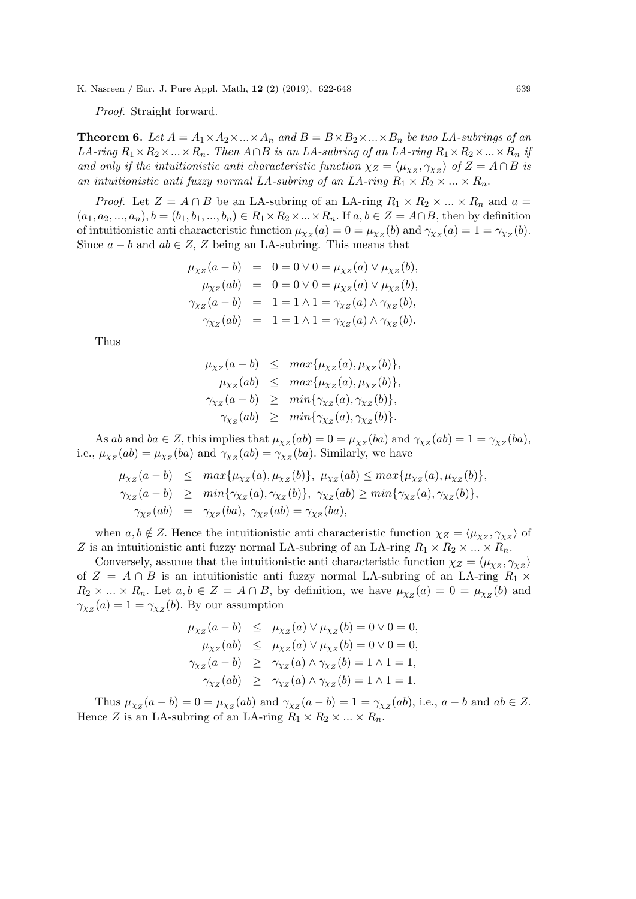Proof. Straight forward.

**Theorem 6.** Let  $A = A_1 \times A_2 \times ... \times A_n$  and  $B = B \times B_2 \times ... \times B_n$  be two LA-subrings of an LA-ring  $R_1 \times R_2 \times ... \times R_n$ . Then  $A \cap B$  is an LA-subring of an LA-ring  $R_1 \times R_2 \times ... \times R_n$  if and only if the intuitionistic anti-characteristic function  $\chi_Z = \langle \mu_{\chi_Z}, \gamma_{\chi_Z} \rangle$  of  $Z = A \cap B$  is an intuitionistic anti fuzzy normal LA-subring of an LA-ring  $R_1 \times R_2 \times ... \times R_n$ .

*Proof.* Let  $Z = A \cap B$  be an LA-subring of an LA-ring  $R_1 \times R_2 \times ... \times R_n$  and  $a =$  $(a_1, a_2, ..., a_n), b = (b_1, b_1, ..., b_n) \in R_1 \times R_2 \times ... \times R_n$ . If  $a, b \in Z = A \cap B$ , then by definition of intuitionistic anti characteristic function  $\mu_{\chi_Z}(a) = 0 = \mu_{\chi_Z}(b)$  and  $\gamma_{\chi_Z}(a) = 1 = \gamma_{\chi_Z}(b)$ . Since  $a - b$  and  $ab \in Z$ , Z being an LA-subring. This means that

$$
\mu_{\chi_Z}(a - b) = 0 = 0 \lor 0 = \mu_{\chi_Z}(a) \lor \mu_{\chi_Z}(b),
$$
  
\n
$$
\mu_{\chi_Z}(ab) = 0 = 0 \lor 0 = \mu_{\chi_Z}(a) \lor \mu_{\chi_Z}(b),
$$
  
\n
$$
\gamma_{\chi_Z}(a - b) = 1 = 1 \land 1 = \gamma_{\chi_Z}(a) \land \gamma_{\chi_Z}(b),
$$
  
\n
$$
\gamma_{\chi_Z}(ab) = 1 = 1 \land 1 = \gamma_{\chi_Z}(a) \land \gamma_{\chi_Z}(b).
$$

Thus

$$
\mu_{\chi_Z}(a-b) \leq \max{\mu_{\chi_Z}(a), \mu_{\chi_Z}(b)},
$$
  
\n
$$
\mu_{\chi_Z}(ab) \leq \max{\mu_{\chi_Z}(a), \mu_{\chi_Z}(b)},
$$
  
\n
$$
\gamma_{\chi_Z}(a-b) \geq \min{\gamma_{\chi_Z}(a), \gamma_{\chi_Z}(b)},
$$
  
\n
$$
\gamma_{\chi_Z}(ab) \geq \min{\gamma_{\chi_Z}(a), \gamma_{\chi_Z}(b)}.
$$

As ab and ba  $\in Z$ , this implies that  $\mu_{\chi_Z}(ab) = 0 = \mu_{\chi_Z}(ba)$  and  $\gamma_{\chi_Z}(ab) = 1 = \gamma_{\chi_Z}(ba)$ , i.e.,  $\mu_{\chi_Z}(ab) = \mu_{\chi_Z}(ba)$  and  $\gamma_{\chi_Z}(ab) = \gamma_{\chi_Z}(ba)$ . Similarly, we have

$$
\mu_{\chi_Z}(a-b) \leq \max{\mu_{\chi_Z}(a), \mu_{\chi_Z}(b)}, \mu_{\chi_Z}(ab) \leq \max{\mu_{\chi_Z}(a), \mu_{\chi_Z}(b)},
$$
  

$$
\gamma_{\chi_Z}(a-b) \geq \min{\gamma_{\chi_Z}(a), \gamma_{\chi_Z}(b)}, \gamma_{\chi_Z}(ab) \geq \min{\gamma_{\chi_Z}(a), \gamma_{\chi_Z}(b)},
$$
  

$$
\gamma_{\chi_Z}(ab) = \gamma_{\chi_Z}(ba), \gamma_{\chi_Z}(ab) = \gamma_{\chi_Z}(ba),
$$

when  $a, b \notin Z$ . Hence the intuitionistic anti characteristic function  $\chi_Z = \langle \mu_{\chi_Z}, \gamma_{\chi_Z} \rangle$  of Z is an intuitionistic anti-fuzzy normal LA-subring of an LA-ring  $R_1 \times R_2 \times ... \times R_n$ .

Conversely, assume that the intuitionistic anti characteristic function  $\chi_Z = \langle \mu_{\chi_Z}, \gamma_{\chi_Z} \rangle$ of  $Z = A \cap B$  is an intuitionistic anti-fuzzy normal LA-subring of an LA-ring  $R_1 \times$  $R_2 \times ... \times R_n$ . Let  $a, b \in Z = A \cap B$ , by definition, we have  $\mu_{\chi_Z}(a) = 0 = \mu_{\chi_Z}(b)$  and  $\gamma_{\chi_Z}(a) = 1 = \gamma_{\chi_Z}(b)$ . By our assumption

$$
\begin{array}{rcl}\n\mu_{\chi_Z}(a-b) & \leq & \mu_{\chi_Z}(a) \vee \mu_{\chi_Z}(b) = 0 \vee 0 = 0, \\
\mu_{\chi_Z}(ab) & \leq & \mu_{\chi_Z}(a) \vee \mu_{\chi_Z}(b) = 0 \vee 0 = 0, \\
\gamma_{\chi_Z}(a-b) & \geq & \gamma_{\chi_Z}(a) \wedge \gamma_{\chi_Z}(b) = 1 \wedge 1 = 1, \\
\gamma_{\chi_Z}(ab) & \geq & \gamma_{\chi_Z}(a) \wedge \gamma_{\chi_Z}(b) = 1 \wedge 1 = 1.\n\end{array}
$$

Thus  $\mu_{\chi_Z}(a-b) = 0 = \mu_{\chi_Z}(ab)$  and  $\gamma_{\chi_Z}(a-b) = 1 = \gamma_{\chi_Z}(ab)$ , i.e.,  $a-b$  and  $ab \in Z$ . Hence Z is an LA-subring of an LA-ring  $R_1 \times R_2 \times ... \times R_n$ .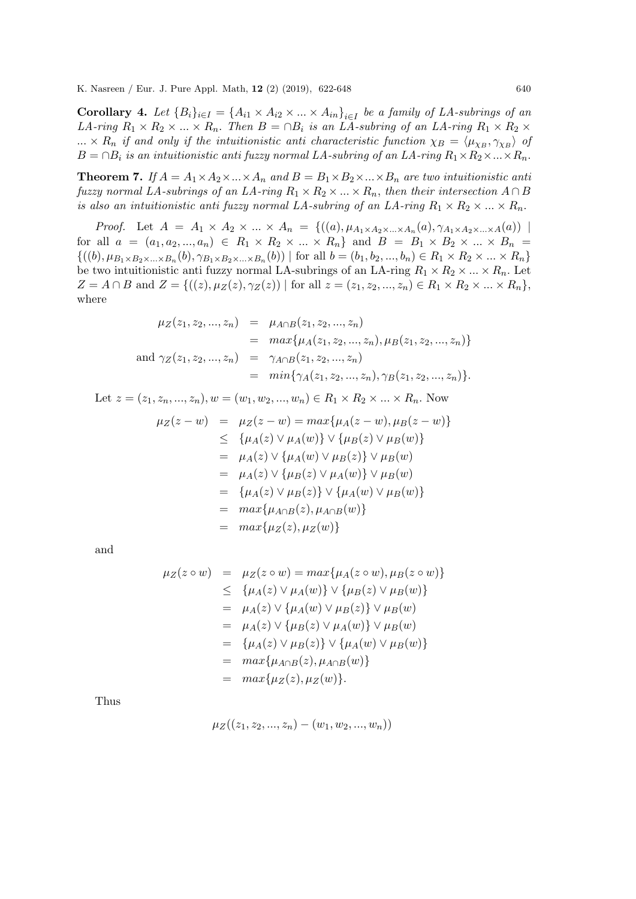**Corollary 4.** Let  ${B_i}_{i \in I} = {A_{i1} \times A_{i2} \times ... \times A_{in}}_{i \in I}$  be a family of LA-subrings of an LA-ring  $R_1 \times R_2 \times ... \times R_n$ . Then  $B = \cap B_i$  is an LA-subring of an LA-ring  $R_1 \times R_2 \times ...$  $\ldots \times R_n$  if and only if the intuitionistic anti-characteristic function  $\chi_B = \langle \mu_{\chi_B}, \gamma_{\chi_B} \rangle$  of  $B = \cap B_i$  is an intuitionistic anti fuzzy normal LA-subring of an LA-ring  $R_1 \times R_2 \times ... \times R_n$ .

**Theorem 7.** If  $A = A_1 \times A_2 \times ... \times A_n$  and  $B = B_1 \times B_2 \times ... \times B_n$  are two intuitionistic anti fuzzy normal LA-subrings of an LA-ring  $R_1 \times R_2 \times ... \times R_n$ , then their intersection  $A \cap B$ is also an intuitionistic anti-fuzzy normal LA-subring of an LA-ring  $R_1 \times R_2 \times ... \times R_n$ .

*Proof.* Let  $A = A_1 \times A_2 \times ... \times A_n = \{((a), \mu_{A_1 \times A_2 \times ... \times A_n}(a), \gamma_{A_1 \times A_2 \times ... \times A}(a))\}$ for all  $a = (a_1, a_2, ..., a_n) \in R_1 \times R_2 \times ... \times R_n$  and  $B = B_1 \times B_2 \times ... \times B_n$  $\{((b), \mu_{B_1\times B_2\times...\times B_n}(b), \gamma_{B_1\times B_2\times...\times B_n}(b)) \mid \text{for all } b=(b_1, b_2,...,b_n) \in R_1 \times R_2 \times...\times R_n\}$ be two intuitionistic anti-fuzzy normal LA-subrings of an LA-ring  $R_1 \times R_2 \times ... \times R_n$ . Let  $Z = A \cap B$  and  $Z = \{((z), \mu_Z(z), \gamma_Z(z)) \mid \text{for all } z = (z_1, z_2, ..., z_n) \in R_1 \times R_2 \times ... \times R_n\},\$ where

$$
\mu_Z(z_1, z_2, ..., z_n) = \mu_{A \cap B}(z_1, z_2, ..., z_n)
$$
  
\n
$$
= max{\mu_A(z_1, z_2, ..., z_n), \mu_B(z_1, z_2, ..., z_n)}
$$
  
\nand  $\gamma_Z(z_1, z_2, ..., z_n) = \gamma_{A \cap B}(z_1, z_2, ..., z_n)$   
\n
$$
= min{\gamma_A(z_1, z_2, ..., z_n), \gamma_B(z_1, z_2, ..., z_n)}.
$$

Let 
$$
z = (z_1, z_n, ..., z_n)
$$
,  $w = (w_1, w_2, ..., w_n) \in R_1 \times R_2 \times ... \times R_n$ . Now  
\n
$$
\mu_Z(z - w) = \mu_Z(z - w) = \max\{\mu_A(z - w), \mu_B(z - w)\}
$$
\n
$$
\leq {\mu_A(z) \vee \mu_A(w)} \vee {\mu_B(z) \vee \mu_B(w)}\
$$
\n
$$
= \mu_A(z) \vee {\mu_A(w) \vee \mu_B(z)} \vee \mu_B(w)
$$
\n
$$
= \mu_A(z) \vee {\mu_B(z) \vee \mu_A(w)} \vee \mu_B(w)
$$
\n
$$
= {\mu_A(z) \vee \mu_B(z)} \vee {\mu_A(w) \vee \mu_B(w)}
$$
\n
$$
= \max{\mu_{A \cap B}(z), \mu_{A \cap B}(w)}
$$
\n
$$
= \max{\mu_Z(z), \mu_Z(w)}
$$

and

$$
\mu_Z(z \circ w) = \mu_Z(z \circ w) = \max\{\mu_A(z \circ w), \mu_B(z \circ w)\}\
$$
  
\n
$$
\leq {\mu_A(z) \vee \mu_A(w)} \vee {\mu_B(z) \vee \mu_B(w)}\n\n= \mu_A(z) \vee {\mu_A(w) \vee \mu_B(z)} \vee \mu_B(w)\n\n= \mu_A(z) \vee {\mu_B(z) \vee \mu_A(w)} \vee \mu_B(w)\n\n= {\mu_A(z) \vee \mu_B(z)} \vee {\mu_A(w) \vee \mu_B(w)}\n\n= \max{\mu_{A \cap B}(z), \mu_{A \cap B}(w)}\n\n= \max{\mu_Z(z), \mu_Z(w)}.
$$

Thus

$$
\mu_Z((z_1, z_2, ..., z_n) - (w_1, w_2, ..., w_n))
$$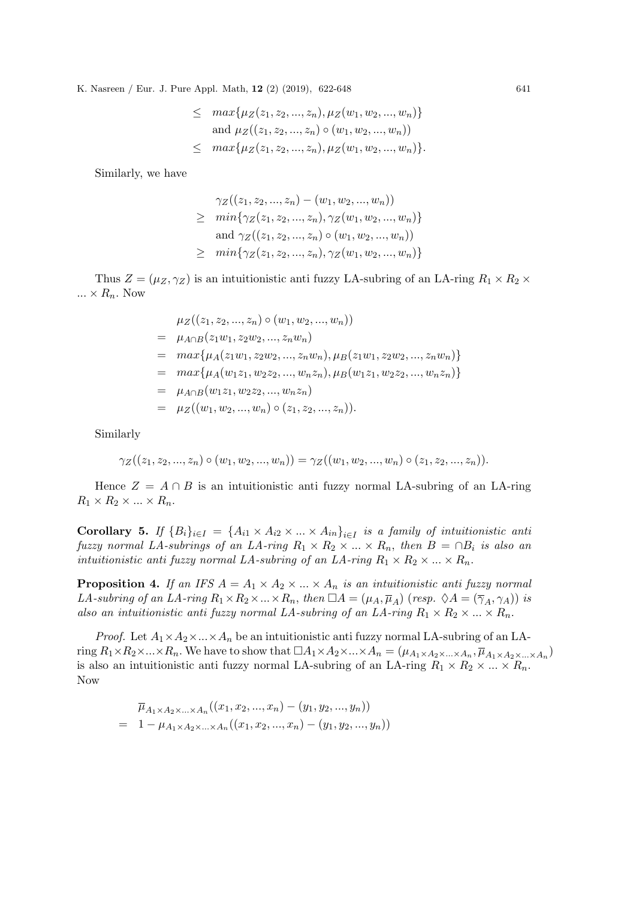$$
\leq \max\{\mu_Z(z_1, z_2, ..., z_n), \mu_Z(w_1, w_2, ..., w_n)\}
$$
  
and  $\mu_Z((z_1, z_2, ..., z_n) \circ (w_1, w_2, ..., w_n))$   

$$
\leq \max\{\mu_Z(z_1, z_2, ..., z_n), \mu_Z(w_1, w_2, ..., w_n)\}.
$$

Similarly, we have

$$
\gamma_Z((z_1, z_2, ..., z_n) - (w_1, w_2, ..., w_n))
$$
  
\n
$$
\geq \min\{\gamma_Z(z_1, z_2, ..., z_n), \gamma_Z(w_1, w_2, ..., w_n)\}
$$
  
\nand  $\gamma_Z((z_1, z_2, ..., z_n) \circ (w_1, w_2, ..., w_n))$   
\n
$$
\geq \min\{\gamma_Z(z_1, z_2, ..., z_n), \gamma_Z(w_1, w_2, ..., w_n)\}
$$

Thus  $Z = (\mu_Z, \gamma_Z)$  is an intuitionistic anti-fuzzy LA-subring of an LA-ring  $R_1 \times R_2 \times$  $\ldots \times R_n$ . Now

$$
\mu_Z((z_1, z_2, ..., z_n) \circ (w_1, w_2, ..., w_n))
$$
\n
$$
= \mu_{A \cap B}(z_1 w_1, z_2 w_2, ..., z_n w_n)
$$
\n
$$
= max\{\mu_A(z_1 w_1, z_2 w_2, ..., z_n w_n), \mu_B(z_1 w_1, z_2 w_2, ..., z_n w_n)\}
$$
\n
$$
= max\{\mu_A(w_1 z_1, w_2 z_2, ..., w_n z_n), \mu_B(w_1 z_1, w_2 z_2, ..., w_n z_n)\}
$$
\n
$$
= \mu_{A \cap B}(w_1 z_1, w_2 z_2, ..., w_n z_n)
$$
\n
$$
= \mu_Z((w_1, w_2, ..., w_n) \circ (z_1, z_2, ..., z_n)).
$$

Similarly

$$
\gamma_Z((z_1, z_2, ..., z_n) \circ (w_1, w_2, ..., w_n)) = \gamma_Z((w_1, w_2, ..., w_n) \circ (z_1, z_2, ..., z_n)).
$$

Hence  $Z = A \cap B$  is an intuitionistic anti-ring normal LA-subring of an LA-ring  $R_1 \times R_2 \times ... \times R_n$ .

**Corollary 5.** If  ${B_i}_{i \in I} = {A_{i1} \times A_{i2} \times ... \times A_{in}}_{i \in I}$  is a family of intuitionistic anti fuzzy normal LA-subrings of an LA-ring  $R_1 \times R_2 \times ... \times R_n$ , then  $B = \bigcap B_i$  is also an intuitionistic anti fuzzy normal LA-subring of an LA-ring  $R_1 \times R_2 \times ... \times R_n$ .

**Proposition 4.** If an IFS  $A = A_1 \times A_2 \times ... \times A_n$  is an intuitionistic anti fuzzy normal LA-subring of an LA-ring  $R_1 \times R_2 \times ... \times R_n$ , then  $\Box A = (\mu_A, \overline{\mu}_A)$  (resp.  $\Diamond A = (\overline{\gamma}_A, \gamma_A)$ ) is also an intuitionistic anti fuzzy normal LA-subring of an LA-ring  $R_1 \times R_2 \times ... \times R_n$ .

*Proof.* Let  $A_1 \times A_2 \times ... \times A_n$  be an intuitionistic anti-uzzy normal LA-subring of an LAring  $R_1\times R_2\times...\times R_n$ . We have to show that  $\Box A_1\times A_2\times...\times A_n = (\mu_{A_1\times A_2\times...\times A_n}, \overline{\mu}_{A_1\times A_2\times...\times A_n})$ is also an intuitionistic anti-unity normal LA-subring of an LA-ring  $R_1 \times R_2 \times ... \times R_n$ . Now

$$
\overline{\mu}_{A_1 \times A_2 \times \ldots \times A_n}((x_1, x_2, ..., x_n) - (y_1, y_2, ..., y_n))
$$
\n
$$
= 1 - \mu_{A_1 \times A_2 \times \ldots \times A_n}((x_1, x_2, ..., x_n) - (y_1, y_2, ..., y_n))
$$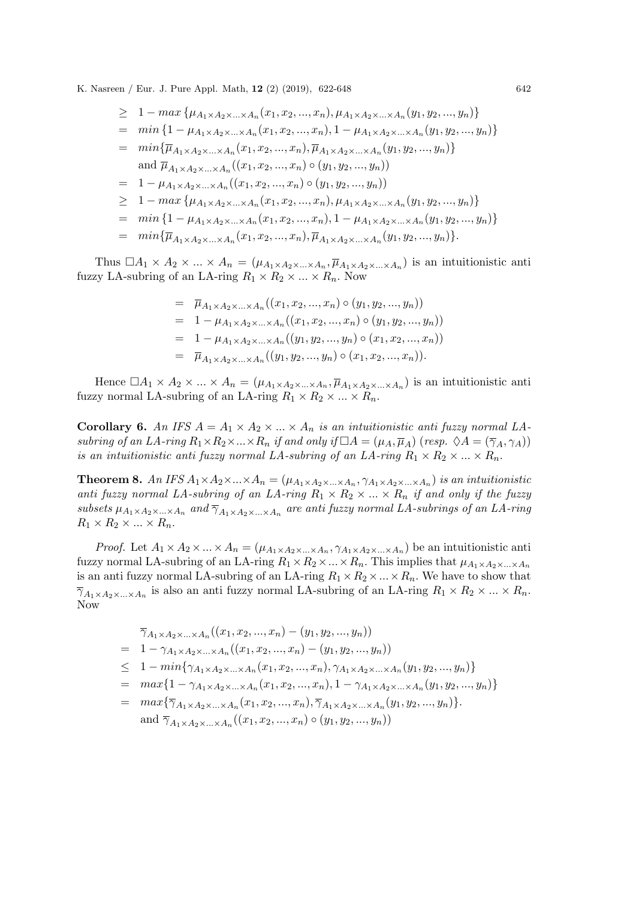$$
\geq 1 - \max \{ \mu_{A_1 \times A_2 \times \ldots \times A_n}(x_1, x_2, \ldots, x_n), \mu_{A_1 \times A_2 \times \ldots \times A_n}(y_1, y_2, \ldots, y_n) \}
$$
\n
$$
= \min \{ 1 - \mu_{A_1 \times A_2 \times \ldots \times A_n}(x_1, x_2, \ldots, x_n), 1 - \mu_{A_1 \times A_2 \times \ldots \times A_n}(y_1, y_2, \ldots, y_n) \}
$$
\n
$$
= \min \{ \overline{\mu}_{A_1 \times A_2 \times \ldots \times A_n}(x_1, x_2, \ldots, x_n), \overline{\mu}_{A_1 \times A_2 \times \ldots \times A_n}(y_1, y_2, \ldots, y_n) \}
$$
\nand  $\overline{\mu}_{A_1 \times A_2 \times \ldots \times A_n}((x_1, x_2, \ldots, x_n) \circ (y_1, y_2, \ldots, y_n))$   
\n
$$
= 1 - \mu_{A_1 \times A_2 \times \ldots \times A_n}((x_1, x_2, \ldots, x_n) \circ (y_1, y_2, \ldots, y_n))
$$
\n
$$
\geq 1 - \max \{ \mu_{A_1 \times A_2 \times \ldots \times A_n}(x_1, x_2, \ldots, x_n), \mu_{A_1 \times A_2 \times \ldots \times A_n}(y_1, y_2, \ldots, y_n) \}
$$
\n
$$
= \min \{ 1 - \mu_{A_1 \times A_2 \times \ldots \times A_n}(x_1, x_2, \ldots, x_n), 1 - \mu_{A_1 \times A_2 \times \ldots \times A_n}(y_1, y_2, \ldots, y_n) \}
$$
\n
$$
= \min \{ \overline{\mu}_{A_1 \times A_2 \times \ldots \times A_n}(x_1, x_2, \ldots, x_n), \overline{\mu}_{A_1 \times A_2 \times \ldots \times A_n}(y_1, y_2, \ldots, y_n) \}.
$$

Thus  $\Box A_1 \times A_2 \times ... \times A_n = (\mu_{A_1 \times A_2 \times ... \times A_n}, \overline{\mu}_{A_1 \times A_2 \times ... \times A_n})$  is an intuitionistic anti fuzzy LA-subring of an LA-ring  $R_1 \times R_2 \times ... \times R_n$ . Now

> $= \overline{\mu}_{A_1 \times A_2 \times ... \times A_n}((x_1, x_2, ..., x_n) \circ (y_1, y_2, ..., y_n))$  $= 1 - \mu_{A_1 \times A_2 \times ... \times A_n}((x_1, x_2, ..., x_n) \circ (y_1, y_2, ..., y_n))$  $= 1 - \mu_{A_1 \times A_2 \times ... \times A_n}((y_1, y_2, ..., y_n) \circ (x_1, x_2, ..., x_n))$  $= \overline{\mu}_{A_1 \times A_2 \times ... \times A_n}((y_1, y_2, ..., y_n) \circ (x_1, x_2, ..., x_n)).$

Hence  $\Box A_1 \times A_2 \times ... \times A_n = (\mu_{A_1 \times A_2 \times ... \times A_n}, \overline{\mu}_{A_1 \times A_2 \times ... \times A_n})$  is an intuitionistic anti fuzzy normal LA-subring of an LA-ring  $R_1 \times R_2 \times ... \times R_n$ .

**Corollary 6.** An IFS  $A = A_1 \times A_2 \times ... \times A_n$  is an intuitionistic anti-fuzzy normal LAsubring of an LA-ring  $R_1 \times R_2 \times ... \times R_n$  if and only if  $\Box A = (\mu_A, \overline{\mu}_A)$  (resp.  $\Diamond A = (\overline{\gamma}_A, \gamma_A)$ ) is an intuitionistic anti fuzzy normal LA-subring of an LA-ring  $R_1 \times R_2 \times ... \times R_n$ .

**Theorem 8.** An IFS  $A_1 \times A_2 \times ... \times A_n = (\mu_{A_1} \times A_2 \times ... \times A_n, \gamma_{A_1} \times A_2 \times ... \times A_n)$  is an intuitionistic anti fuzzy normal LA-subring of an LA-ring  $R_1 \times R_2 \times ... \times R_n$  if and only if the fuzzy subsets  $\mu_{A_1\times A_2\times...\times A_n}$  and  $\overline{\gamma}_{A_1\times A_2\times...\times A_n}$  are anti fuzzy normal LA-subrings of an LA-ring  $R_1 \times R_2 \times \ldots \times R_n$ .

*Proof.* Let  $A_1 \times A_2 \times ... \times A_n = (\mu_{A_1 \times A_2 \times ... \times A_n}, \gamma_{A_1 \times A_2 \times ... \times A_n})$  be an intuitionistic anti fuzzy normal LA-subring of an LA-ring  $R_1 \times R_2 \times ... \times R_n$ . This implies that  $\mu_{A_1 \times A_2 \times ... \times A_n}$ is an anti-fuzzy normal LA-subring of an LA-ring  $R_1 \times R_2 \times ... \times R_n$ . We have to show that  $\overline{\gamma}_{A_1\times A_2\times...\times A_n}$  is also an anti-fuzzy normal LA-subring of an LA-ring  $R_1\times R_2\times...\times R_n$ . Now

$$
\overline{\gamma}_{A_1 \times A_2 \times \ldots \times A_n}((x_1, x_2, ..., x_n) - (y_1, y_2, ..., y_n))
$$
\n
$$
= 1 - \gamma_{A_1 \times A_2 \times \ldots \times A_n}((x_1, x_2, ..., x_n) - (y_1, y_2, ..., y_n))
$$
\n
$$
\leq 1 - \min\{\gamma_{A_1 \times A_2 \times \ldots \times A_n}(x_1, x_2, ..., x_n), \gamma_{A_1 \times A_2 \times \ldots \times A_n}(y_1, y_2, ..., y_n)\}\
$$

- $= \, \max\{1-\gamma_{A_1\times A_2\times...\times A_n}(x_1,x_2,...,x_n), 1-\gamma_{A_1\times A_2\times...\times A_n}(y_1,y_2,...,y_n)\}$
- $= \, \max\{\overline{\gamma}_{A_1\times A_2\times...\times A_n}(x_1,x_2,...,x_n),\overline{\gamma}_{A_1\times A_2\times...\times A_n}(y_1,y_2,...,y_n)\}.$

and 
$$
\overline{\gamma}_{A_1 \times A_2 \times ... \times A_n}((x_1, x_2, ..., x_n) \circ (y_1, y_2, ..., y_n))
$$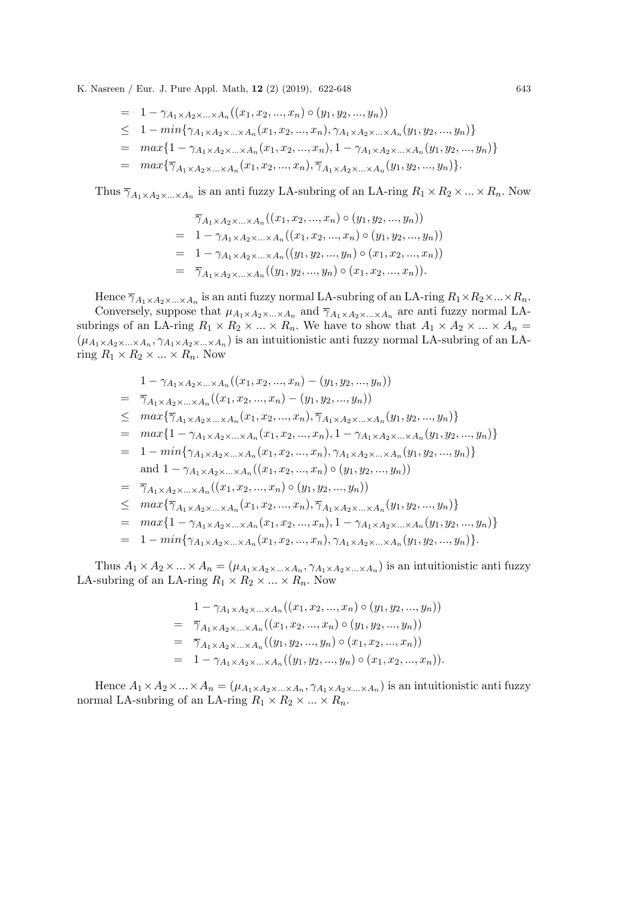$$
= 1 - \gamma_{A_1 \times A_2 \times ... \times A_n}((x_1, x_2, ..., x_n) \circ (y_1, y_2, ..., y_n))
$$

- $\leq 1 \min\{\gamma_{A_1\times A_2\times...\times A_n}(x_1, x_2,...,x_n), \gamma_{A_1\times A_2\times...\times A_n}(y_1, y_2,...,y_n)\}\$
- $= \, \max\{1-\gamma_{A_1\times A_2\times...\times A_n}(x_1,x_2,...,x_n), 1-\gamma_{A_1\times A_2\times...\times A_n}(y_1,y_2,...,y_n)\}$
- $= \, \max\{\overline{\gamma}_{A_1\times A_2\times...\times A_n}(x_1,x_2,...,x_n),\overline{\gamma}_{A_1\times A_2\times...\times A_n}(y_1,y_2,...,y_n)\}.$

Thus  $\overline{\gamma}_{A_1\times A_2\times...\times A_n}$  is an anti-fuzzy LA-subring of an LA-ring  $R_1\times R_2\times...\times R_n$ . Now

$$
\overline{\gamma}_{A_1 \times A_2 \times \ldots \times A_n} ((x_1, x_2, ..., x_n) \circ (y_1, y_2, ..., y_n))
$$
\n
$$
= 1 - \gamma_{A_1 \times A_2 \times \ldots \times A_n} ((x_1, x_2, ..., x_n) \circ (y_1, y_2, ..., y_n))
$$
\n
$$
= 1 - \gamma_{A_1 \times A_2 \times \ldots \times A_n} ((y_1, y_2, ..., y_n) \circ (x_1, x_2, ..., x_n))
$$
\n
$$
= \overline{\gamma}_{A_1 \times A_2 \times \ldots \times A_n} ((y_1, y_2, ..., y_n) \circ (x_1, x_2, ..., x_n)).
$$

Hence  $\overline{\gamma}_{A_1\times A_2\times...\times A_n}$  is an anti-fuzzy normal LA-subring of an LA-ring  $R_1\times R_2\times...\times R_n$ .

Conversely, suppose that  $\mu_{A_1 \times A_2 \times ... \times A_n}$  and  $\overline{\gamma}_{A_1 \times A_2 \times ... \times A_n}$  are anti-fuzzy normal LAsubrings of an LA-ring  $R_1 \times R_2 \times ... \times R_n$ . We have to show that  $A_1 \times A_2 \times ... \times A_n =$  $(\mu_{A_1\times A_2\times...\times A_n}, \gamma_{A_1\times A_2\times...\times A_n})$  is an intuitionistic anti-fuzzy normal LA-subring of an LAring  $R_1 \times R_2 \times ... \times R_n$ . Now

$$
1 - \gamma_{A_1 \times A_2 \times \ldots \times A_n}((x_1, x_2, ..., x_n) - (y_1, y_2, ..., y_n))
$$
  
\n
$$
= \overline{\gamma}_{A_1 \times A_2 \times \ldots \times A_n}((x_1, x_2, ..., x_n) - (y_1, y_2, ..., y_n))
$$
  
\n
$$
\leq max{\overline{\gamma}_{A_1 \times A_2 \times \ldots \times A_n}(x_1, x_2, ..., x_n), \overline{\gamma}_{A_1 \times A_2 \times \ldots \times A_n}(y_1, y_2, ..., y_n)}
$$
  
\n
$$
= max{1 - \gamma_{A_1 \times A_2 \times \ldots \times A_n}(x_1, x_2, ..., x_n), 1 - \gamma_{A_1 \times A_2 \times \ldots \times A_n}(y_1, y_2, ..., y_n)}
$$
  
\n
$$
= 1 - min{\gamma_{A_1 \times A_2 \times \ldots \times A_n}(x_1, x_2, ..., x_n), \gamma_{A_1 \times A_2 \times \ldots \times A_n}(y_1, y_2, ..., y_n)}
$$
  
\nand  $1 - \gamma_{A_1 \times A_2 \times \ldots \times A_n}((x_1, x_2, ..., x_n) \circ (y_1, y_2, ..., y_n))$   
\n
$$
= \overline{\gamma}_{A_1 \times A_2 \times \ldots \times A_n}((x_1, x_2, ..., x_n) \circ (y_1, y_2, ..., y_n))
$$
  
\n
$$
\leq max{\overline{\gamma}_{A_1 \times A_2 \times \ldots \times A_n}(x_1, x_2, ..., x_n), \overline{\gamma}_{A_1 \times A_2 \times \ldots \times A_n}(y_1, y_2, ..., y_n)}
$$
  
\n
$$
= max{1 - \gamma_{A_1 \times A_2 \times \ldots \times A_n}(x_1, x_2, ..., x_n), 1 - \gamma_{A_1 \times A_2 \times \ldots \times A_n}(y_1, y_2, ..., y_n)}
$$

$$
= 1 - min{\gamma_{A_1 \times A_2 \times ... \times A_n}(x_1, x_2, ..., x_n), \gamma_{A_1 \times A_2 \times ... \times A_n}(y_1, y_2, ..., y_n)}.
$$

Thus  $A_1 \times A_2 \times ... \times A_n = (\mu_{A_1 \times A_2 \times ... \times A_n}, \gamma_{A_1 \times A_2 \times ... \times A_n})$  is an intuitionistic anti-LA-subring of an LA-ring  $R_1 \times R_2 \times ... \times R_n$ . Now

$$
1 - \gamma_{A_1 \times A_2 \times \ldots \times A_n}((x_1, x_2, \ldots, x_n) \circ (y_1, y_2, \ldots, y_n))
$$
  
=  $\overline{\gamma}_{A_1 \times A_2 \times \ldots \times A_n}((x_1, x_2, \ldots, x_n) \circ (y_1, y_2, \ldots, y_n))$   
=  $\overline{\gamma}_{A_1 \times A_2 \times \ldots \times A_n}((y_1, y_2, \ldots, y_n) \circ (x_1, x_2, \ldots, x_n))$   
=  $1 - \gamma_{A_1 \times A_2 \times \ldots \times A_n}((y_1, y_2, \ldots, y_n) \circ (x_1, x_2, \ldots, x_n)).$ 

Hence  $A_1 \times A_2 \times ... \times A_n = (\mu_{A_1 \times A_2 \times ... \times A_n}, \gamma_{A_1 \times A_2 \times ... \times A_n})$  is an intuitionistic antinormal LA-subring of an LA-ring  $R_1 \times R_2 \times ... \times R_n$ .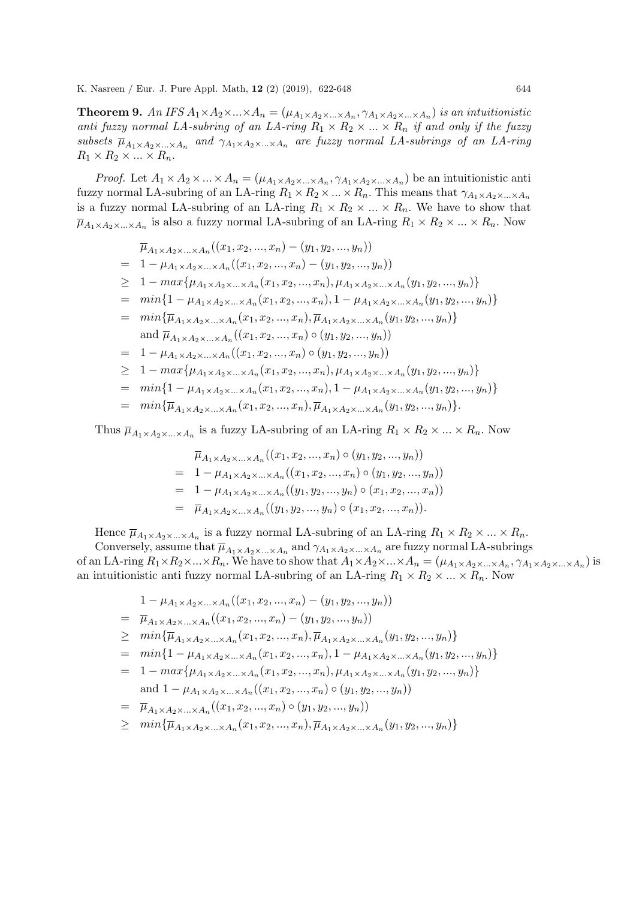**Theorem 9.** An IFS  $A_1 \times A_2 \times ... \times A_n = (\mu_{A_1} \times A_2 \times ... \times A_n, \gamma_{A_1} \times A_2 \times ... \times A_n)$  is an intuitionistic anti fuzzy normal LA-subring of an LA-ring  $R_1 \times R_2 \times ... \times R_n$  if and only if the fuzzy subsets  $\overline{\mu}_{A_1\times A_2\times...\times A_n}$  and  $\gamma_{A_1\times A_2\times...\times A_n}$  are fuzzy normal LA-subrings of an LA-ring  $R_1 \times R_2 \times ... \times R_n$ .

*Proof.* Let  $A_1 \times A_2 \times ... \times A_n = (\mu_{A_1 \times A_2 \times ... \times A_n}, \gamma_{A_1 \times A_2 \times ... \times A_n})$  be an intuitionistic anti fuzzy normal LA-subring of an LA-ring  $R_1 \times R_2 \times ... \times R_n$ . This means that  $\gamma_{A_1} \times A_2 \times ... \times A_n$ is a fuzzy normal LA-subring of an LA-ring  $R_1 \times R_2 \times ... \times R_n$ . We have to show that  $\overline{\mu}_{A_1\times A_2\times...\times A_n}$  is also a fuzzy normal LA-subring of an LA-ring  $R_1\times R_2\times...\times R_n$ . Now

$$
\overline{\mu}_{A_1 \times A_2 \times ... \times A_n} ((x_1, x_2, ..., x_n) - (y_1, y_2, ..., y_n))
$$
\n
$$
= 1 - \mu_{A_1 \times A_2 \times ... \times A_n} ((x_1, x_2, ..., x_n) - (y_1, y_2, ..., y_n))
$$
\n
$$
\geq 1 - \max \{ \mu_{A_1 \times A_2 \times ... \times A_n} (x_1, x_2, ..., x_n), \mu_{A_1 \times A_2 \times ... \times A_n} (y_1, y_2, ..., y_n) \}
$$
\n
$$
= \min \{ 1 - \mu_{A_1 \times A_2 \times ... \times A_n} (x_1, x_2, ..., x_n), 1 - \mu_{A_1 \times A_2 \times ... \times A_n} (y_1, y_2, ..., y_n) \}
$$
\n
$$
= \min \{ \overline{\mu}_{A_1 \times A_2 \times ... \times A_n} (x_1, x_2, ..., x_n), \overline{\mu}_{A_1 \times A_2 \times ... \times A_n} (y_1, y_2, ..., y_n) \}
$$
\nand  $\overline{\mu}_{A_1 \times A_2 \times ... \times A_n} ((x_1, x_2, ..., x_n) \circ (y_1, y_2, ..., y_n))$ )\n
$$
= 1 - \mu_{A_1 \times A_2 \times ... \times A_n} ((x_1, x_2, ..., x_n) \circ (y_1, y_2, ..., y_n))
$$
\n
$$
\geq 1 - \max \{ \mu_{A_1 \times A_2 \times ... \times A_n} (x_1, x_2, ..., x_n), \mu_{A_1 \times A_2 \times ... \times A_n} (y_1, y_2, ..., y_n) \}
$$
\n
$$
= \min \{ 1 - \mu_{A_1 \times A_2 \times ... \times A_n} (x_1, x_2, ..., x_n), 1 - \mu_{A_1 \times A_2 \times ... \times A_n} (y_1, y_2, ..., y_n) \}
$$
\n
$$
= \min \{ \overline{\mu}_{A_1 \times A_2 \times ... \times A_n} (x_1, x_2, ..., x_n), \overline{\mu}_{A_1 \times A_2 \times ... \times A_n} (y_1, y_2, ..., y_n) \}.
$$

Thus  $\overline{\mu}_{A_1\times A_2\times...\times A_n}$  is a fuzzy LA-subring of an LA-ring  $R_1\times R_2\times...\times R_n$ . Now

$$
\overline{\mu}_{A_1 \times A_2 \times \ldots \times A_n} ((x_1, x_2, ..., x_n) \circ (y_1, y_2, ..., y_n))
$$
\n
$$
= 1 - \mu_{A_1 \times A_2 \times \ldots \times A_n} ((x_1, x_2, ..., x_n) \circ (y_1, y_2, ..., y_n))
$$
\n
$$
= 1 - \mu_{A_1 \times A_2 \times \ldots \times A_n} ((y_1, y_2, ..., y_n) \circ (x_1, x_2, ..., x_n))
$$
\n
$$
= \overline{\mu}_{A_1 \times A_2 \times \ldots \times A_n} ((y_1, y_2, ..., y_n) \circ (x_1, x_2, ..., x_n)).
$$

Hence  $\overline{\mu}_{A_1\times A_2\times...\times A_n}$  is a fuzzy normal LA-subring of an LA-ring  $R_1\times R_2\times...\times R_n$ .

Conversely, assume that  $\overline{\mu}_{A_1\times A_2\times...\times A_n}$  and  $\gamma_{A_1\times A_2\times...\times A_n}$  are fuzzy normal LA-subrings of an LA-ring  $R_1\times R_2\times...\times R_n$ . We have to show that  $A_1\times A_2\times...\times A_n = (\mu_{A_1\times A_2\times...\times A_n}, \gamma_{A_1\times A_2\times...\times A_n})$  is an intuitionistic anti-fuzzy normal LA-subring of an LA-ring  $R_1 \times R_2 \times ... \times R_n$ . Now

$$
1 - \mu_{A_1 \times A_2 \times \ldots \times A_n}((x_1, x_2, ..., x_n) - (y_1, y_2, ..., y_n))
$$

$$
= \overline{\mu}_{A_1 \times A_2 \times ... \times A_n}((x_1, x_2, ..., x_n) - (y_1, y_2, ..., y_n))
$$

$$
\geq \min{\{\overline{\mu}_{A_1\times A_2\times...\times A_n}(x_1,x_2,...,x_n),\overline{\mu}_{A_1\times A_2\times...\times A_n}(y_1,y_2,...,y_n)\}}
$$

- $= \min\{1-\mu_{A_1\times A_2\times...\times A_n}(x_1,x_2,...,x_n),1-\mu_{A_1\times A_2\times...\times A_n}(y_1,y_2,...,y_n)\}\$
- $= 1 max{ \mu_{A_1 \times A_2 \times ... \times A_n}(x_1, x_2, ..., x_n), \mu_{A_1 \times A_2 \times ... \times A_n}(y_1, y_2, ..., y_n) }$ and  $1 - \mu_{A_1 \times A_2 \times ... \times A_n}((x_1, x_2, ..., x_n) \circ (y_1, y_2, ..., y_n))$

$$
= \overline{\mu}_{A_1 \times A_2 \times ... \times A_n}((x_1, x_2, ..., x_n) \circ (y_1, y_2, ..., y_n))
$$

 $\geq \min\{\overline{\mu}_{A_1\times A_2\times...\times A_n}(x_1,x_2,...,x_n),\overline{\mu}_{A_1\times A_2\times...\times A_n}(y_1,y_2,...,y_n)\}\$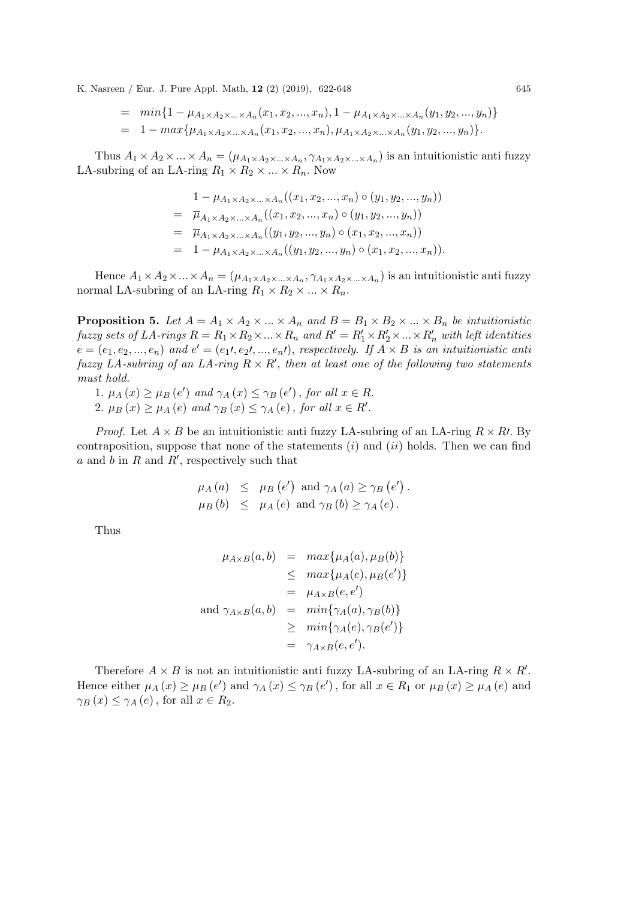$$
= min\{1 - \mu_{A_1 \times A_2 \times ... \times A_n}(x_1, x_2, ..., x_n), 1 - \mu_{A_1 \times A_2 \times ... \times A_n}(y_1, y_2, ..., y_n)\}
$$
  
= 1 - max\{\mu\_{A\_1 \times A\_2 \times ... \times A\_n}(x\_1, x\_2, ..., x\_n), \mu\_{A\_1 \times A\_2 \times ... \times A\_n}(y\_1, y\_2, ..., y\_n)\}.

Thus  $A_1 \times A_2 \times ... \times A_n = (\mu_{A_1 \times A_2 \times ... \times A_n}, \gamma_{A_1 \times A_2 \times ... \times A_n})$  is an intuitionistic anti-LA-subring of an LA-ring  $R_1 \times R_2 \times ... \times R_n$ . Now

$$
1 - \mu_{A_1 \times A_2 \times \ldots \times A_n}((x_1, x_2, \ldots, x_n) \circ (y_1, y_2, \ldots, y_n))
$$
  
=  $\overline{\mu}_{A_1 \times A_2 \times \ldots \times A_n}((x_1, x_2, \ldots, x_n) \circ (y_1, y_2, \ldots, y_n))$   
=  $\overline{\mu}_{A_1 \times A_2 \times \ldots \times A_n}((y_1, y_2, \ldots, y_n) \circ (x_1, x_2, \ldots, x_n))$   
=  $1 - \mu_{A_1 \times A_2 \times \ldots \times A_n}((y_1, y_2, \ldots, y_n) \circ (x_1, x_2, \ldots, x_n)).$ 

Hence  $A_1 \times A_2 \times ... \times A_n = (\mu_{A_1 \times A_2 \times ... \times A_n}, \gamma_{A_1 \times A_2 \times ... \times A_n})$  is an intuitionistic antinormal LA-subring of an LA-ring  $R_1 \times R_2 \times ... \times R_n$ .

**Proposition 5.** Let  $A = A_1 \times A_2 \times ... \times A_n$  and  $B = B_1 \times B_2 \times ... \times B_n$  be intuitionistic fuzzy sets of LA-rings  $R = R_1 \times R_2 \times ... \times R_n$  and  $R' = R'_1 \times R'_2 \times ... \times R'_n$  with left identities  $e = (e_1, e_2, ..., e_n)$  and  $e' = (e_1, e_2, ..., e_n)$ , respectively. If  $A \times B$  is an intuitionistic anti fuzzy LA-subring of an LA-ring  $R \times R'$ , then at least one of the following two statements must hold.

1.  $\mu_A(x) \geq \mu_B(e')$  and  $\gamma_A(x) \leq \gamma_B(e')$ , for all  $x \in R$ . 2.  $\mu_B(x) \geq \mu_A(e)$  and  $\gamma_B(x) \leq \gamma_A(e)$ , for all  $x \in R'.$ 

*Proof.* Let  $A \times B$  be an intuitionistic anti-unitary LA-subring of an LA-ring  $R \times R$ . By contraposition, suppose that none of the statements  $(i)$  and  $(ii)$  holds. Then we can find  $a$  and  $b$  in  $R$  and  $R'$ , respectively such that

$$
\mu_A(a) \leq \mu_B(e') \text{ and } \gamma_A(a) \geq \gamma_B(e').
$$
  

$$
\mu_B(b) \leq \mu_A(e) \text{ and } \gamma_B(b) \geq \gamma_A(e).
$$

Thus

$$
\mu_{A \times B}(a, b) = \max{\mu_A(a), \mu_B(b)}
$$
  
\n
$$
\leq \max{\mu_A(e), \mu_B(e')}
$$
  
\n
$$
= \mu_{A \times B}(e, e')
$$
  
\nand  $\gamma_{A \times B}(a, b) = \min{\gamma_A(a), \gamma_B(b)}$   
\n
$$
\geq \min{\gamma_A(e), \gamma_B(e')}
$$
  
\n
$$
= \gamma_{A \times B}(e, e').
$$

Therefore  $A \times B$  is not an intuitionistic anti-fuzzy LA-subring of an LA-ring  $R \times R'$ . Hence either  $\mu_A(x) \ge \mu_B(e')$  and  $\gamma_A(x) \le \gamma_B(e')$ , for all  $x \in R_1$  or  $\mu_B(x) \ge \mu_A(e)$  and  $\gamma_B(x) \leq \gamma_A(e)$ , for all  $x \in R_2$ .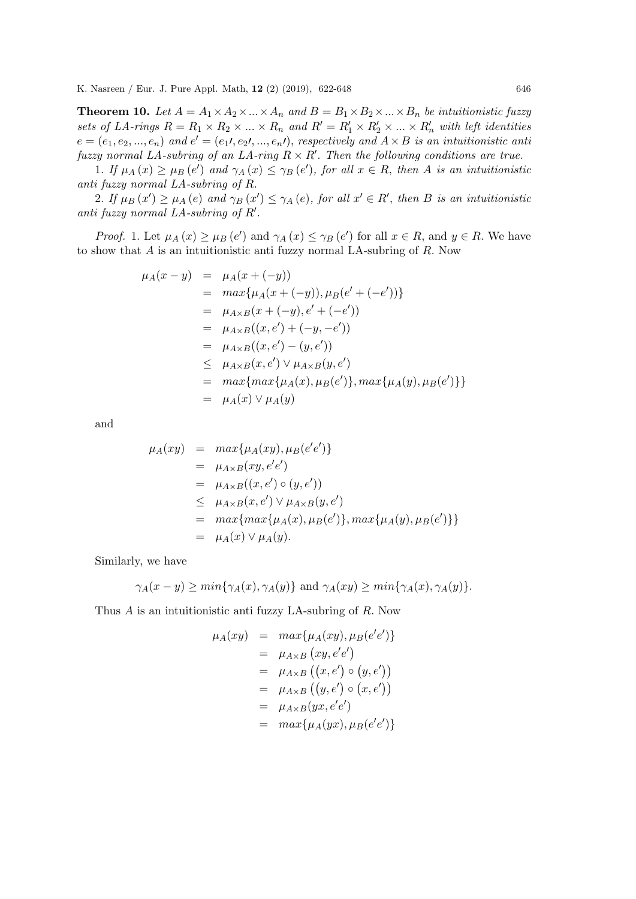**Theorem 10.** Let  $A = A_1 \times A_2 \times ... \times A_n$  and  $B = B_1 \times B_2 \times ... \times B_n$  be intuitionistic fuzzy sets of LA-rings  $R = R_1 \times R_2 \times ... \times R_n$  and  $R' = R'_1 \times R'_2 \times ... \times R'_n$  with left identities  $e = (e_1, e_2, ..., e_n)$  and  $e' = (e_1, e_2, ..., e_n)$ , respectively and  $A \times B$  is an intuitionistic anti fuzzy normal LA-subring of an LA-ring  $R \times R'$ . Then the following conditions are true.

1. If  $\mu_A(x) \geq \mu_B(e')$  and  $\gamma_A(x) \leq \gamma_B(e')$ , for all  $x \in R$ , then A is an intuitionistic anti fuzzy normal LA-subring of R.

2. If  $\mu_B(x') \ge \mu_A(e)$  and  $\gamma_B(x') \le \gamma_A(e)$ , for all  $x' \in R'$ , then B is an intuitionistic anti fuzzy normal LA-subring of  $R'$ .

*Proof.* 1. Let  $\mu_A(x) \geq \mu_B(e')$  and  $\gamma_A(x) \leq \gamma_B(e')$  for all  $x \in R$ , and  $y \in R$ . We have to show that A is an intuitionistic anti fuzzy normal LA-subring of R. Now

$$
\mu_A(x - y) = \mu_A(x + (-y))
$$
  
=  $max{\mu_A(x + (-y)), \mu_B(e' + (-e'))}$   
=  $\mu_{A \times B}(x + (-y), e' + (-e'))$   
=  $\mu_{A \times B}((x, e') + (-y, -e'))$   
=  $\mu_{A \times B}((x, e') - (y, e'))$   
 $\leq \mu_{A \times B}(x, e') \vee \mu_{A \times B}(y, e')$   
=  $max{\max{\mu_A(x), \mu_B(e')}, max{\mu_A(y), \mu_B(e')}}$   
=  $\mu_A(x) \vee \mu_A(y)$ 

and

$$
\mu_A(xy) = \max{\mu_A(xy), \mu_B(e'e')} \n= \mu_{A \times B}(xy, e'e') \n= \mu_{A \times B}((x, e') \circ (y, e')) \n\leq \mu_{A \times B}(x, e') \vee \mu_{A \times B}(y, e') \n= \max{\max{\mu_A(x), \mu_B(e')}, \max{\mu_A(y), \mu_B(e')}} \n= \mu_A(x) \vee \mu_A(y).
$$

Similarly, we have

$$
\gamma_A(x - y) \ge \min\{\gamma_A(x), \gamma_A(y)\} \text{ and } \gamma_A(xy) \ge \min\{\gamma_A(x), \gamma_A(y)\}.
$$

Thus A is an intuitionistic anti fuzzy LA-subring of R. Now

$$
\mu_A(xy) = \max{\mu_A(xy), \mu_B(e'e')} \n= \mu_{A \times B} (xy, e'e') \n= \mu_{A \times B} ((x, e') \circ (y, e')) \n= \mu_{A \times B} ((y, e') \circ (x, e')) \n= \mu_{A \times B} (yx, e'e') \n= \max{\mu_A(yx), \mu_B(e'e')}
$$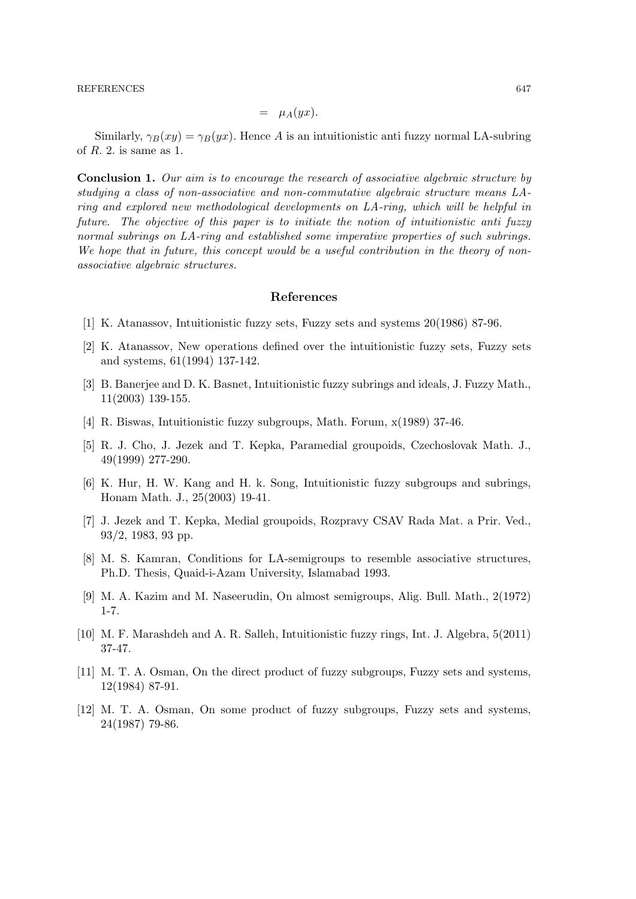#### REFERENCES 647

$$
= \mu_A(yx).
$$

Similarly,  $\gamma_B(xy) = \gamma_B(yx)$ . Hence A is an intuitionistic antiof  $R$ . 2. is same as 1.

Conclusion 1. Our aim is to encourage the research of associative algebraic structure by studying a class of non-associative and non-commutative algebraic structure means LAring and explored new methodological developments on LA-ring, which will be helpful in future. The objective of this paper is to initiate the notion of intuitionistic anti fuzzy normal subrings on LA-ring and established some imperative properties of such subrings. We hope that in future, this concept would be a useful contribution in the theory of nonassociative algebraic structures.

### References

- [1] K. Atanassov, Intuitionistic fuzzy sets, Fuzzy sets and systems 20(1986) 87-96.
- [2] K. Atanassov, New operations defined over the intuitionistic fuzzy sets, Fuzzy sets and systems, 61(1994) 137-142.
- [3] B. Banerjee and D. K. Basnet, Intuitionistic fuzzy subrings and ideals, J. Fuzzy Math., 11(2003) 139-155.
- [4] R. Biswas, Intuitionistic fuzzy subgroups, Math. Forum, x(1989) 37-46.
- [5] R. J. Cho, J. Jezek and T. Kepka, Paramedial groupoids, Czechoslovak Math. J., 49(1999) 277-290.
- [6] K. Hur, H. W. Kang and H. k. Song, Intuitionistic fuzzy subgroups and subrings, Honam Math. J., 25(2003) 19-41.
- [7] J. Jezek and T. Kepka, Medial groupoids, Rozpravy CSAV Rada Mat. a Prir. Ved., 93/2, 1983, 93 pp.
- [8] M. S. Kamran, Conditions for LA-semigroups to resemble associative structures, Ph.D. Thesis, Quaid-i-Azam University, Islamabad 1993.
- [9] M. A. Kazim and M. Naseerudin, On almost semigroups, Alig. Bull. Math., 2(1972) 1-7.
- [10] M. F. Marashdeh and A. R. Salleh, Intuitionistic fuzzy rings, Int. J. Algebra, 5(2011) 37-47.
- [11] M. T. A. Osman, On the direct product of fuzzy subgroups, Fuzzy sets and systems, 12(1984) 87-91.
- [12] M. T. A. Osman, On some product of fuzzy subgroups, Fuzzy sets and systems, 24(1987) 79-86.